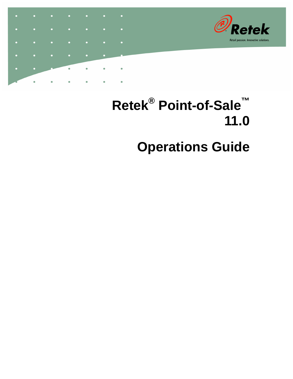

# **Retek® Point-of-Sale™ 11.0 Operations Guide**

 $\bullet$ 

 $\ddot{\phantom{0}}$ 

 $\bullet$ 

 $\bullet$ 

 $\ddot{\phantom{0}}$ 

 $\bullet$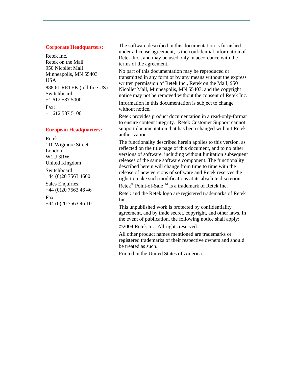#### **Corporate Headquarters:**

Retek Inc. Retek on the Mall 950 Nicollet Mall Minneapolis, MN 55403 USA 888.61.RETEK (toll free US) Switchboard: +1 612 587 5000 Fax: +1 612 587 5100

#### **European Headquarters:**

Retek 110 Wigmore Street London W1U 3RW United Kingdom Switchboard: +44 (0)20 7563 4600 Sales Enquiries: +44 (0)20 7563 46 46 Fax: +44 (0)20 7563 46 10 The software described in this documentation is furnished under a license agreement, is the confidential information of Retek Inc., and may be used only in accordance with the terms of the agreement.

No part of this documentation may be reproduced or transmitted in any form or by any means without the express written permission of Retek Inc., Retek on the Mall, 950 Nicollet Mall, Minneapolis, MN 55403, and the copyright notice may not be removed without the consent of Retek Inc.

Information in this documentation is subject to change without notice.

Retek provides product documentation in a read-only-format to ensure content integrity. Retek Customer Support cannot support documentation that has been changed without Retek authorization.

The functionality described herein applies to this version, as reflected on the title page of this document, and to no other versions of software, including without limitation subsequent releases of the same software component. The functionality described herein will change from time to time with the release of new versions of software and Retek reserves the right to make such modifications at its absolute discretion.

Retek<sup>®</sup> Point-of-Sale<sup>TM</sup> is a trademark of Retek Inc.

Retek and the Retek logo are registered trademarks of Retek Inc.

This unpublished work is protected by confidentiality agreement, and by trade secret, copyright, and other laws. In the event of publication, the following notice shall apply:

©2004 Retek Inc. All rights reserved.

All other product names mentioned are trademarks or registered trademarks of their respective owners and should be treated as such.

Printed in the United States of America.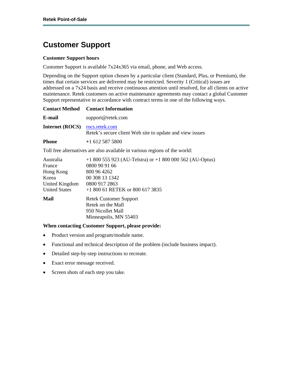### **Customer Support**

#### **Customer Support hours**

Customer Support is available 7x24x365 via email, phone, and Web access.

Depending on the Support option chosen by a particular client (Standard, Plus, or Premium), the times that certain services are delivered may be restricted. Severity 1 (Critical) issues are addressed on a 7x24 basis and receive continuous attention until resolved, for all clients on active maintenance. Retek customers on active maintenance agreements may contact a global Customer Support representative in accordance with contract terms in one of the following ways.

| <b>Contact Method</b>                                                               | <b>Contact Information</b>                                                                                                                                   |
|-------------------------------------------------------------------------------------|--------------------------------------------------------------------------------------------------------------------------------------------------------------|
| E-mail                                                                              | support@retek.com                                                                                                                                            |
| <b>Internet (ROCS)</b>                                                              | rocs.retek.com<br>Retek's secure client Web site to update and view issues                                                                                   |
| <b>Phone</b>                                                                        | $+16125875800$                                                                                                                                               |
|                                                                                     | Toll free alternatives are also available in various regions of the world:                                                                                   |
| Australia<br>France<br>Hong Kong<br>Korea<br>United Kingdom<br><b>United States</b> | $+1800555923$ (AU-Telstra) or $+1800000562$ (AU-Optus)<br>0800 90 91 66<br>800 96 4262<br>00 308 13 1342<br>0800 917 2863<br>$+180061$ RETEK or 800 617 3835 |
| Mail                                                                                | <b>Retek Customer Support</b><br>Retek on the Mall<br>950 Nicollet Mall<br>Minneapolis, MN 55403                                                             |

#### **When contacting Customer Support, please provide:**

- Product version and program/module name.
- Functional and technical description of the problem (include business impact).
- Detailed step-by-step instructions to recreate.
- Exact error message received.
- Screen shots of each step you take.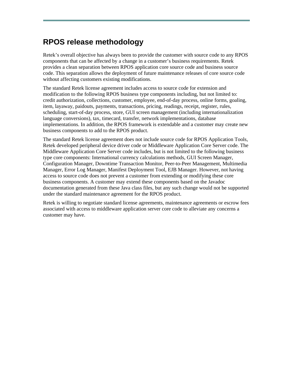### **RPOS release methodology**

Retek's overall objective has always been to provide the customer with source code to any RPOS components that can be affected by a change in a customer's business requirements. Retek provides a clean separation between RPOS application core source code and business source code. This separation allows the deployment of future maintenance releases of core source code without affecting customers existing modifications.

The standard Retek license agreement includes access to source code for extension and modification to the following RPOS business type components including, but not limited to: credit authorization, collections, customer, employee, end-of-day process, online forms, goaling, item, layaway, paidouts, payments, transactions, pricing, readings, receipt, register, rules, scheduling, start-of-day process, store, GUI screen management (including internationalization language conversions), tax, timecard, transfer, network implementations, database implementations. In addition, the RPOS framework is extendable and a customer may create new business components to add to the RPOS product.

The standard Retek license agreement does not include source code for RPOS Application Tools, Retek developed peripheral device driver code or Middleware Application Core Server code. The Middleware Application Core Server code includes, but is not limited to the following business type core components: International currency calculations methods, GUI Screen Manager, Configuration Manager, Downtime Transaction Monitor, Peer-to-Peer Management, Multimedia Manager, Error Log Manager, Manifest Deployment Tool, EJB Manager. However, not having access to source code does not prevent a customer from extending or modifying these core business components. A customer may extend these components based on the Javadoc documentation generated from these Java class files, but any such change would not be supported under the standard maintenance agreement for the RPOS product.

Retek is willing to negotiate standard license agreements, maintenance agreements or escrow fees associated with access to middleware application server core code to alleviate any concerns a customer may have.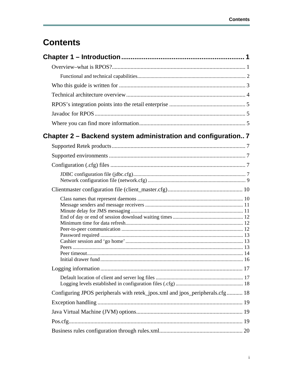# **Contents**

| Chapter 2 – Backend system administration and configuration 7                |  |
|------------------------------------------------------------------------------|--|
|                                                                              |  |
|                                                                              |  |
|                                                                              |  |
|                                                                              |  |
|                                                                              |  |
|                                                                              |  |
|                                                                              |  |
|                                                                              |  |
| Configuring JPOS peripherals with retek_jpos.xml and jpos_peripherals.cfg 18 |  |
|                                                                              |  |
|                                                                              |  |
|                                                                              |  |
|                                                                              |  |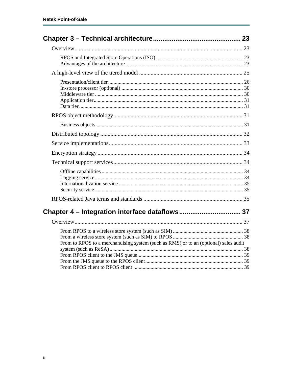| Chapter 4 - Integration interface dataflows 37                                       |  |
|--------------------------------------------------------------------------------------|--|
|                                                                                      |  |
| From to RPOS to a merchandising system (such as RMS) or to an (optional) sales audit |  |
|                                                                                      |  |
|                                                                                      |  |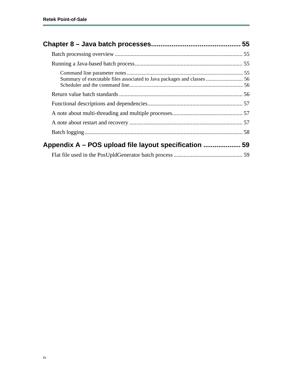| Summary of executable files associated to Java packages and classes  56 |  |
|-------------------------------------------------------------------------|--|
|                                                                         |  |
|                                                                         |  |
|                                                                         |  |
|                                                                         |  |
|                                                                         |  |
| Appendix A – POS upload file layout specification  59                   |  |
|                                                                         |  |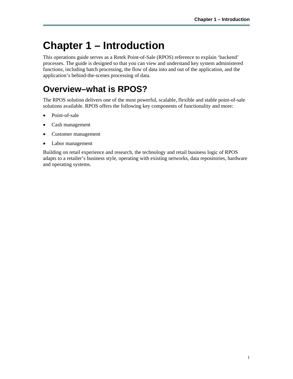# <span id="page-10-0"></span>**Chapter 1 – Introduction**

This operations guide serves as a Retek Point-of-Sale (RPOS) reference to explain 'backend' processes. The guide is designed so that you can view and understand key system administered functions, including batch processing, the flow of data into and out of the application, and the application's behind-the-scenes processing of data.

# <span id="page-10-1"></span>**Overview–what is RPOS?**

The RPOS solution delivers one of the most powerful, scalable, flexible and stable point-of-sale solutions available. RPOS offers the following key components of functionality and more:

- Point-of-sale
- Cash management
- Customer management
- Labor management

Building on retail experience and research, the technology and retail business logic of RPOS adapts to a retailer's business style, operating with existing networks, data repositories, hardware and operating systems.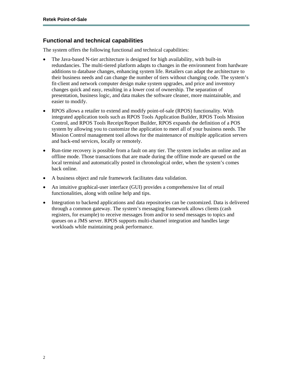#### <span id="page-11-0"></span>**Functional and technical capabilities**

The system offers the following functional and technical capabilities:

- The Java-based N-tier architecture is designed for high availability, with built-in redundancies. The multi-tiered platform adapts to changes in the environment from hardware additions to database changes, enhancing system life. Retailers can adapt the architecture to their business needs and can change the number of tiers without changing code. The system's fit-client and network computer design make system upgrades, and price and inventory changes quick and easy, resulting in a lower cost of ownership. The separation of presentation, business logic, and data makes the software cleaner, more maintainable, and easier to modify.
- RPOS allows a retailer to extend and modify point-of-sale (RPOS) functionality. With integrated application tools such as RPOS Tools Application Builder, RPOS Tools Mission Control, and RPOS Tools Receipt/Report Builder, RPOS expands the definition of a POS system by allowing you to customize the application to meet all of your business needs. The Mission Control management tool allows for the maintenance of multiple application servers and back-end services, locally or remotely.
- Run-time recovery is possible from a fault on any tier. The system includes an online and an offline mode. Those transactions that are made during the offline mode are queued on the local terminal and automatically posted in chronological order, when the system's comes back online.
- A business object and rule framework facilitates data validation.
- An intuitive graphical-user interface (GUI) provides a comprehensive list of retail functionalities, along with online help and tips.
- Integration to backend applications and data repositories can be customized. Data is delivered through a common gateway. The system's messaging framework allows clients (cash registers, for example) to receive messages from and/or to send messages to topics and queues on a JMS server. RPOS supports multi-channel integration and handles large workloads while maintaining peak performance.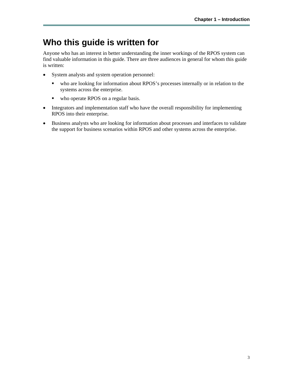# <span id="page-12-0"></span>**Who this guide is written for**

Anyone who has an interest in better understanding the inner workings of the RPOS system can find valuable information in this guide. There are three audiences in general for whom this guide is written:

- System analysts and system operation personnel:
	- who are looking for information about RPOS's processes internally or in relation to the systems across the enterprise.
	- who operate RPOS on a regular basis.
- Integrators and implementation staff who have the overall responsibility for implementing RPOS into their enterprise.
- Business analysts who are looking for information about processes and interfaces to validate the support for business scenarios within RPOS and other systems across the enterprise.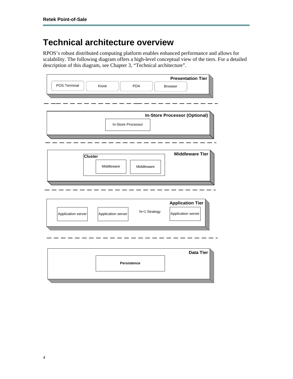# <span id="page-13-0"></span>**Technical architecture overview**

RPOS's robust distributed computing platform enables enhanced performance and allows for scalability. The following diagram offers a high-level conceptual view of the tiers. For a detailed description of this diagram, see Chapter 3, "Technical architecture".

| <b>Presentation Tier</b><br>POS Terminal<br>Kiosk<br><b>PDA</b><br><b>Browser</b>                         |
|-----------------------------------------------------------------------------------------------------------|
| <b>In-Store Processor (Optional)</b><br>In-Store Processor                                                |
| <b>Middleware Tier</b><br><b>Cluster</b><br>Middleware<br>Middleware                                      |
| <b>Application Tier</b><br>N+1 Strategy<br>Application server<br>Application server<br>Application server |
| <b>Data Tier</b><br><b>Persistence</b>                                                                    |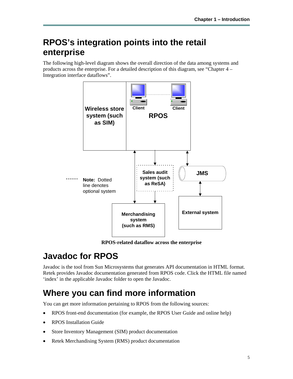## <span id="page-14-0"></span>**RPOS's integration points into the retail enterprise**

The following high-level diagram shows the overall direction of the data among systems and products across the enterprise. For a detailed description of this diagram, see "Chapter 4 – Integration interface dataflows".



**RPOS-related dataflow across the enterprise** 

# <span id="page-14-1"></span>**Javadoc for RPOS**

Javadoc is the tool from Sun Microsystems that generates API documentation in HTML format. Retek provides Javadoc documentation generated from RPOS code. Click the HTML file named 'index' in the applicable Javadoc folder to open the Javadoc.

# <span id="page-14-2"></span>**Where you can find more information**

You can get more information pertaining to RPOS from the following sources:

- RPOS front-end documentation (for example, the RPOS User Guide and online help)
- RPOS Installation Guide
- Store Inventory Management (SIM) product documentation
- Retek Merchandising System (RMS) product documentation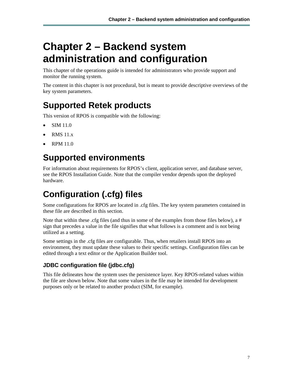# <span id="page-16-0"></span>**Chapter 2 – Backend system administration and configuration**

This chapter of the operations guide is intended for administrators who provide support and monitor the running system.

The content in this chapter is not procedural, but is meant to provide descriptive overviews of the key system parameters.

# <span id="page-16-1"></span>**Supported Retek products**

This version of RPOS is compatible with the following:

- SIM 11.0
- RMS 11.x
- RPM 11.0

# <span id="page-16-2"></span>**Supported environments**

For information about requirements for RPOS's client, application server, and database server, see the RPOS Installation Guide. Note that the compiler vendor depends upon the deployed hardware.

# <span id="page-16-3"></span>**Configuration (.cfg) files**

Some configurations for RPOS are located in .cfg files. The key system parameters contained in these file are described in this section.

Note that within these .cfg files (and thus in some of the examples from those files below), a  $#$ sign that precedes a value in the file signifies that what follows is a comment and is not being utilized as a setting.

Some settings in the .cfg files are configurable. Thus, when retailers install RPOS into an environment, they must update these values to their specific settings. Configuration files can be edited through a text editor or the Application Builder tool.

#### <span id="page-16-4"></span>**JDBC configuration file (jdbc.cfg)**

This file delineates how the system uses the persistence layer. Key RPOS-related values within the file are shown below. Note that some values in the file may be intended for development purposes only or be related to another product (SIM, for example).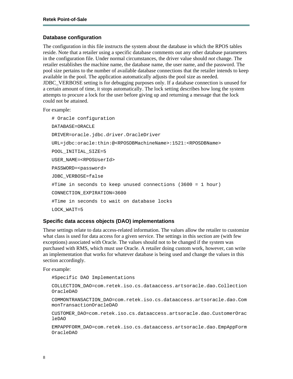#### **Database configuration**

The configuration in this file instructs the system about the database in which the RPOS tables reside. Note that a retailer using a specific database comments out any other database parameters in the configuration file. Under normal circumstances, the driver value should *not* change. The retailer establishes the machine name, the database name, the user name, and the password. The pool size pertains to the number of available database connections that the retailer intends to keep available in the pool. The application automatically adjusts the pool size as needed. JDBC\_VERBOSE setting is for debugging purposes only. If a database connection is unused for a certain amount of time, it stops automatically. The lock setting describes how long the system attempts to procure a lock for the user before giving up and returning a message that the lock could not be attained.

For example:

```
# Oracle configuration 
DATABASE=ORACLE 
DRIVER=oracle.jdbc.driver.OracleDriver 
URL=jdbc:oracle:thin:@<RPOSDBMachineName>:1521:<RPOSDBName> 
POOL_INITIAL_SIZE=5 
USER_NAME=<RPOSUserId> 
PASSWORD=<password> 
JDBC_VERBOSE=false 
#Time in seconds to keep unused connections (3600 = 1 hour) 
CONNECTION_EXPIRATION=3600 
#Time in seconds to wait on database locks 
LOCK_WAIT=5
```
#### **Specific data access objects (DAO) implementations**

These settings relate to data access-related information. The values allow the retailer to customize what class is used for data access for a given service. The settings in this section are (with few exceptions) associated with Oracle. The values should not to be changed if the system was purchased with RMS, which must use Oracle. A retailer doing custom work, however, can write an implementation that works for whatever database is being used and change the values in this section accordingly.

For example:

#Specific DAO Implementations

COLLECTION\_DAO=com.retek.iso.cs.dataaccess.artsoracle.dao.Collection OracleDAO

COMMONTRANSACTION\_DAO=com.retek.iso.cs.dataaccess.artsoracle.dao.Com monTransactionOracleDAO

CUSTOMER\_DAO=com.retek.iso.cs.dataaccess.artsoracle.dao.CustomerOrac leDAO

EMPAPPFORM\_DAO=com.retek.iso.cs.dataaccess.artsoracle.dao.EmpAppForm OracleDAO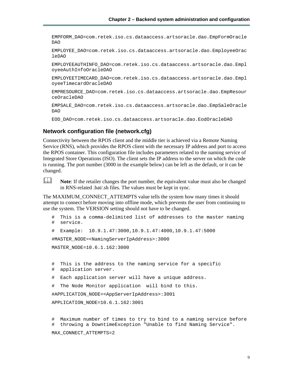EMPFORM\_DAO=com.retek.iso.cs.dataaccess.artsoracle.dao.EmpFormOracle DAO

EMPLOYEE\_DAO=com.retek.iso.cs.dataaccess.artsoracle.dao.EmployeeOrac leDAO

EMPLOYEEAUTHINFO\_DAO=com.retek.iso.cs.dataaccess.artsoracle.dao.Empl oyeeAuthInfoOracleDAO

EMPLOYEETIMECARD\_DAO=com.retek.iso.cs.dataaccess.artsoracle.dao.Empl oyeeTimecardOracleDAO

EMPRESOURCE\_DAO=com.retek.iso.cs.dataaccess.artsoracle.dao.EmpResour ceOracleDAO

EMPSALE\_DAO=com.retek.iso.cs.dataaccess.artsoracle.dao.EmpSaleOracle DAO

EOD\_DAO=com.retek.iso.cs.dataaccess.artsoracle.dao.EodOracleDAO

#### <span id="page-18-0"></span>**Network configuration file (network.cfg)**

Connectivity between the RPOS client and the middle tier is achieved via a Remote Naming Service (RNS), which provides the RPOS client with the necessary IP address and port to access the RPOS container. This configuration file includes parameters related to the naming service of Integrated Store Operations (ISO). The client sets the IP address to the server on which the code is running. The port number (3000 in the example below) can be left as the default, or it can be changed.

**Note:** If the retailer changes the port number, the equivalent value must also be changed in RNS-related .bat/.sh files. The values must be kept in sync.

The MAXIMUM\_CONNECT\_ATTEMPTS value tells the system how many times it should attempt to connect before moving into offline mode, which prevents the user from continuing to use the system. The VERSION setting should not have to be changed.

```
# This is a comma-delimited list of addresses to the master naming 
# service. 
# Example: 10.9.1.47:3000,10.9.1.47:4000,10.9.1.47:5000 
#MASTER_NODE=<NamingServerIpAddress>:3000 
MASTER_NODE=10.6.1.162:3000 
# This is the address to the naming service for a specific 
# application server. 
# Each application server will have a unique address. 
# The Node Monitor application will bind to this. 
#APPLICATION_NODE=<AppServerIpAddress>:3001 
APPLICATION_NODE=10.6.1.162:3001
```
# Maximum number of times to try to bind to a naming service before # throwing a DowntimeException "Unable to find Naming Service". MAX\_CONNECT\_ATTEMPTS=2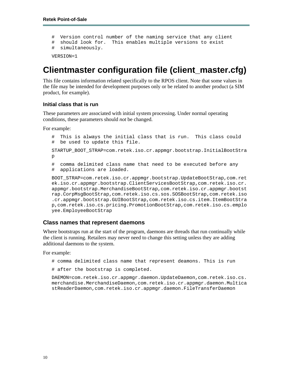```
# Version control number of the naming service that any client 
# should look for. This enables multiple versions to exist 
# simultaneously.
```
VERSION=1

### <span id="page-19-0"></span>**Clientmaster configuration file (client\_master.cfg)**

This file contains information related specifically to the RPOS client. Note that some values in the file may be intended for development purposes only or be related to another product (a SIM product, for example).

#### **Initial class that is run**

These parameters are associated with initial system processing. Under normal operating conditions, these parameters should *not* be changed.

For example:

```
# This is always the initial class that is run. This class could 
# be used to update this file. 
STARTUP_BOOT_STRAP=com.retek.iso.cr.appmgr.bootstrap.InitialBootStra
p 
# comma delimited class name that need to be executed before any 
# applications are loaded. 
BOOT_STRAP=com.retek.iso.cr.appmgr.bootstrap.UpdateBootStrap,com.ret
ek.iso.cr.appmgr.bootstrap.ClientServicesBootStrap,com.retek.iso.cr.
appmgr.bootstrap.MerchandiseBootStrap,com.retek.iso.cr.appmgr.bootst
rap.CorpMsgBootStrap,com.retek.iso.cs.sos.SOSBootStrap,com.retek.iso
.cr.appmgr.bootstrap.GUIBootStrap,com.retek.iso.cs.item.ItemBootStra
p,com.retek.iso.cs.pricing.PromotionBootStrap,com.retek.iso.cs.emplo
yee.EmployeeBootStrap
```
#### <span id="page-19-1"></span>**Class names that represent daemons**

Where bootstraps run at the start of the program, daemons are threads that run continually while the client is running. Retailers may never need to change this setting unless they are adding additional daemons to the system.

For example:

```
# comma delimited class name that represent deamons. This is run
```
# after the bootstrap is completed.

DAEMON=com.retek.iso.cr.appmgr.daemon.UpdateDaemon,com.retek.iso.cs. merchandise.MerchandiseDaemon,com.retek.iso.cr.appmgr.daemon.Multica stReaderDaemon,com.retek.iso.cr.appmgr.daemon.FileTransferDaemon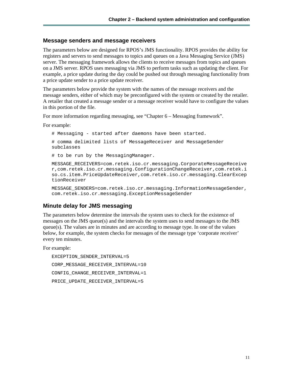#### <span id="page-20-0"></span>**Message senders and message receivers**

The parameters below are designed for RPOS's JMS functionality. RPOS provides the ability for registers and servers to send messages to topics and queues on a Java Messaging Service (JMS) server. The messaging framework allows the clients to receive messages from topics and queues on a JMS server. RPOS uses messaging via JMS to perform tasks such as updating the client. For example, a price update during the day could be pushed out through messaging functionality from a price update sender to a price update receiver.

The parameters below provide the system with the names of the message receivers and the message senders, either of which may be preconfigured with the system or created by the retailer. A retailer that created a message sender or a message receiver would have to configure the values in this portion of the file.

For more information regarding messaging, see "Chapter 6 – Messaging framework".

For example:

# Messaging - started after daemons have been started.

# comma delimited lists of MessageReceiver and MessageSender subclasses

# to be run by the MessagingManager.

MESSAGE\_RECEIVERS=com.retek.iso.cr.messaging.CorporateMessageReceive r,com.retek.iso.cr.messaging.ConfigurationChangeReceiver,com.retek.i so.cs.item.PriceUpdateReceiver,com.retek.iso.cr.messaging.ClearExcep tionReceiver

MESSAGE SENDERS=com.retek.iso.cr.messaging.InformationMessageSender, com.retek.iso.cr.messaging.ExceptionMessageSender

#### <span id="page-20-1"></span>**Minute delay for JMS messaging**

The parameters below determine the intervals the system uses to check for the existence of messages on the JMS queue(s) and the intervals the system uses to send messages to the JMS queue(s). The values are in minutes and are according to message type. In one of the values below, for example, the system checks for messages of the message type 'corporate receiver' every ten minutes.

For example:

EXCEPTION\_SENDER\_INTERVAL=5 CORP\_MESSAGE\_RECEIVER\_INTERVAL=10 CONFIG\_CHANGE\_RECEIVER\_INTERVAL=1 PRICE\_UPDATE\_RECEIVER\_INTERVAL=5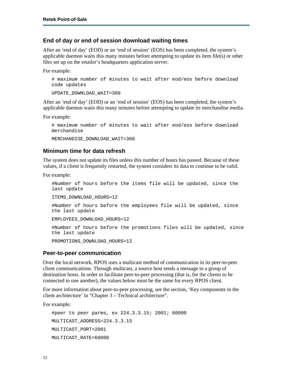#### <span id="page-21-0"></span>**End of day or end of session download waiting times**

After an 'end of day' (EOD) or an 'end of session' (EOS) has been completed, the system's applicable daemon waits this many minutes before attempting to update its item file(s) or other files set up on the retailer's headquarters application server.

For example:

```
# maximum number of minutes to wait after eod/eos before download 
code updates
```
UPDATE\_DOWNLOAD\_WAIT=360

After an 'end of day' (EOD) or an 'end of session' (EOS) has been completed, the system's applicable daemon waits this many minutes before attempting to update its merchandise media.

For example:

```
# maximum number of minutes to wait after eod/eos before download 
merchandise 
MERCHANDISE DOWNLOAD WAIT=360
```
#### <span id="page-21-1"></span>**Minimum time for data refresh**

The system does not update its files unless this number of hours has passed. Because of these values, if a client is frequently restarted, the system considers its data to continue to be valid.

For example:

```
#Number of hours before the items file will be updated, since the 
last update 
ITEMS_DOWNLOAD_HOURS=12 
#Number of hours before the employees file will be updated, since 
the last update 
EMPLOYEES_DOWNLOAD_HOURS=12 
#Number of hours before the promotions files will be updated, since 
the last update 
PROMOTIONS DOWNLOAD HOURS=12
```
#### <span id="page-21-2"></span>**Peer-to-peer communication**

Over the local network, RPOS uses a multicast method of communication in its peer-to-peer client communications. Through multicast, a source host sends a message to a group of destination hosts. In order to facilitate peer-to-peer processing (that is, for the clients to be connected to one another), the values below must be the same for every RPOS client.

For more information about peer-to-peer processing, see the section, 'Key components in the client architecture' in "Chapter 3 – Technical architecture".

```
#peer to peer parms, ex 224.3.3.15; 2001; 60000 
MULTICAST_ADDRESS=224.3.3.15 
MULTICAST_PORT=2001 
MULTICAST_RATE=60000
```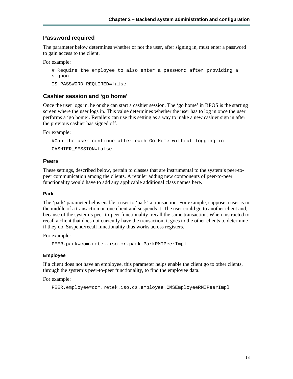#### <span id="page-22-0"></span>**Password required**

The parameter below determines whether or not the user, after signing in, must enter a password to gain access to the client.

For example:

```
# Require the employee to also enter a password after providing a 
signon
```
IS\_PASSWORD\_REQUIRED=false

#### <span id="page-22-1"></span>**Cashier session and 'go home'**

Once the user logs in, he or she can start a cashier session. The 'go home' in RPOS is the starting screen where the user logs in. This value determines whether the user has to log in once the user performs a 'go home'. Retailers can use this setting as a way to make a new cashier sign in after the previous cashier has signed off.

For example:

```
#Can the user continue after each Go Home without logging in
```
CASHIER\_SESSION=false

#### <span id="page-22-2"></span>**Peers**

These settings, described below, pertain to classes that are instrumental to the system's peer-topeer communication among the clients. A retailer adding new components of peer-to-peer functionality would have to add any applicable additional class names here.

#### **Park**

The 'park' parameter helps enable a user to 'park' a transaction. For example, suppose a user is in the middle of a transaction on one client and suspends it. The user could go to another client and, because of the system's peer-to-peer functionality, recall the same transaction. When instructed to recall a client that does not currently have the transaction, it goes to the other clients to determine if they do. Suspend/recall functionality thus works across registers.

For example:

```
PEER.park=com.retek.iso.cr.park.ParkRMIPeerImpl
```
#### **Employee**

If a client does not have an employee, this parameter helps enable the client go to other clients, through the system's peer-to-peer functionality, to find the employee data.

```
PEER.employee=com.retek.iso.cs.employee.CMSEmployeeRMIPeerImpl
```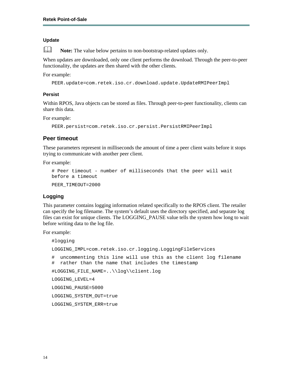#### **Update**

**Note:** The value below pertains to non-bootstrap-related updates only.

When updates are downloaded, only one client performs the download. Through the peer-to-peer functionality, the updates are then shared with the other clients.

For example:

```
PEER.update=com.retek.iso.cr.download.update.UpdateRMIPeerImpl
```
#### **Persist**

Within RPOS, Java objects can be stored as files. Through peer-to-peer functionality, clients can share this data.

For example:

PEER.persist=com.retek.iso.cr.persist.PersistRMIPeerImpl

#### <span id="page-23-0"></span>**Peer timeout**

These parameters represent in milliseconds the amount of time a peer client waits before it stops trying to communicate with another peer client.

For example:

```
# Peer timeout - number of milliseconds that the peer will wait 
before a timeout 
PEER_TIMEOUT=2000
```
#### **Logging**

This parameter contains logging information related specifically to the RPOS client. The retailer can specify the log filename. The system's default uses the directory specified, and separate log files can exist for unique clients. The LOGGING\_PAUSE value tells the system how long to wait before writing data to the log file.

```
#logging 
LOGGING_IMPL=com.retek.iso.cr.logging.LoggingFileServices 
# uncommenting this line will use this as the client log filename 
# rather than the name that includes the timestamp 
#LOGGING_FILE_NAME=..\\log\\client.log 
LOGGING_LEVEL=4 
LOGGING_PAUSE=5000 
LOGGING_SYSTEM_OUT=true 
LOGGING_SYSTEM_ERR=true
```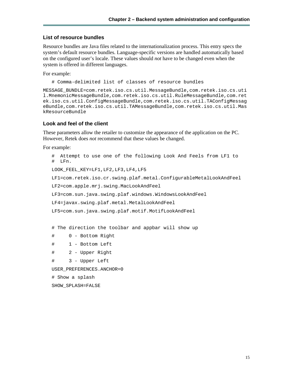#### **List of resource bundles**

Resource bundles are Java files related to the internationalization process. This entry specs the system's default resource bundles. Language-specific versions are handled automatically based on the configured user's locale. These values should *not* have to be changed even when the system is offered in different languages.

For example:

# Comma-delimited list of classes of resource bundles

MESSAGE\_BUNDLE=com.retek.iso.cs.util.MessageBundle,com.retek.iso.cs.uti l.MnemonicMessageBundle,com.retek.iso.cs.util.RuleMessageBundle,com.ret ek.iso.cs.util.ConfigMessageBundle,com.retek.iso.cs.util.TAConfigMessag eBundle,com.retek.iso.cs.util.TAMessageBundle,com.retek.iso.cs.util.Mas kResourceBundle

#### **Look and feel of the client**

These parameters allow the retailer to customize the appearance of the application on the PC. However, Retek does *not* recommend that these values be changed.

```
# Attempt to use one of the following Look And Feels from LF1 to 
# LFn. 
LOOK_FEEL_KEY=LF1,LF2,LF3,LF4,LF5 
LF1=com.retek.iso.cr.swing.plaf.metal.ConfigurableMetalLookAndFeel 
LF2=com.apple.mrj.swing.MacLookAndFeel 
LF3=com.sun.java.swing.plaf.windows.WindowsLookAndFeel 
LF4=javax.swing.plaf.metal.MetalLookAndFeel 
LF5=com.sun.java.swing.plaf.motif.MotifLookAndFeel 
# The direction the toolbar and appbar will show up 
# 0 - Bottom Right 
# 1 - Bottom Left 
# 2 - Upper Right 
# 3 - Upper Left 
USER_PREFERENCES.ANCHOR=0 
# Show a splash 
SHOW_SPLASH=FALSE
```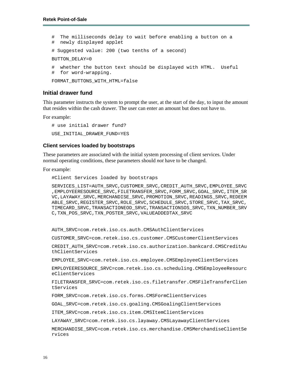# The milliseconds delay to wait before enabling a button on a # newly displayed applet # Suggested value: 200 (two tenths of a second) BUTTON\_DELAY=0 # whether the button text should be displayed with HTML. Useful # for word-wrapping. FORMAT BUTTONS WITH HTML=false

#### <span id="page-25-0"></span>**Initial drawer fund**

This parameter instructs the system to prompt the user, at the start of the day, to input the amount that resides within the cash drawer. The user can enter an amount but does not have to.

For example:

# use initial drawer fund? USE\_INITIAL\_DRAWER\_FUND=YES

#### **Client services loaded by bootstraps**

These parameters are associated with the initial system processing of client services. Under normal operating conditions, these parameters should *not* have to be changed.

For example:

#Client Services loaded by bootstraps

SERVICES\_LIST=AUTH\_SRVC,CUSTOMER\_SRVC,CREDIT\_AUTH\_SRVC,EMPLOYEE\_SRVC ,EMPLOYEERESOURCE\_SRVC,FILETRANSFER\_SRVC,FORM\_SRVC,GOAL\_SRVC,ITEM\_SR VC,LAYAWAY\_SRVC,MERCHANDISE\_SRVC,PROMOTION\_SRVC,READINGS\_SRVC,REDEEM ABLE\_SRVC,REGISTER\_SRVC,ROLE\_SRVC,SCHEDULE\_SRVC,STORE\_SRVC,TAX\_SRVC, TIMECARD\_SRVC,TRANSACTIONEOD\_SRVC,TRANSACTIONSOS\_SRVC,TXN\_NUMBER\_SRV C,TXN\_POS\_SRVC,TXN\_POSTER\_SRVC,VALUEADDEDTAX\_SRVC

AUTH\_SRVC=com.retek.iso.cs.auth.CMSAuthClientServices

CUSTOMER\_SRVC=com.retek.iso.cs.customer.CMSCustomerClientServices

CREDIT\_AUTH\_SRVC=com.retek.iso.cs.authorization.bankcard.CMSCreditAu thClientServices

EMPLOYEE\_SRVC=com.retek.iso.cs.employee.CMSEmployeeClientServices

EMPLOYEERESOURCE\_SRVC=com.retek.iso.cs.scheduling.CMSEmployeeResourc eClientServices

FILETRANSFER\_SRVC=com.retek.iso.cs.filetransfer.CMSFileTransferClien tServices

FORM\_SRVC=com.retek.iso.cs.forms.CMSFormClientServices

GOAL\_SRVC=com.retek.iso.cs.goaling.CMSGoalingClientServices

ITEM\_SRVC=com.retek.iso.cs.item.CMSItemClientServices

LAYAWAY\_SRVC=com.retek.iso.cs.layaway.CMSLayawayClientServices

MERCHANDISE\_SRVC=com.retek.iso.cs.merchandise.CMSMerchandiseClientSe rvices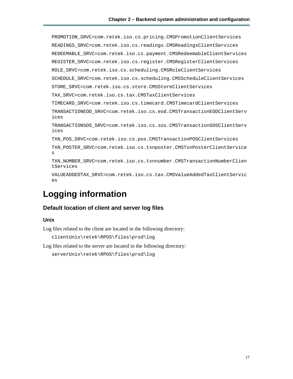PROMOTION\_SRVC=com.retek.iso.cs.pricing.CMSPromotionClientServices READINGS\_SRVC=com.retek.iso.cs.readings.CMSReadingsClientServices REDEEMABLE\_SRVC=com.retek.iso.cs.payment.CMSRedeemableClientServices REGISTER\_SRVC=com.retek.iso.cs.register.CMSRegisterClientServices ROLE\_SRVC=com.retek.iso.cs.scheduling.CMSRoleClientServices SCHEDULE\_SRVC=com.retek.iso.cs.scheduling.CMSScheduleClientServices STORE\_SRVC=com.retek.iso.cs.store.CMSStoreClientServices TAX\_SRVC=com.retek.iso.cs.tax.CMSTaxClientServices TIMECARD\_SRVC=com.retek.iso.cs.timecard.CMSTimecardClientServices TRANSACTIONEOD\_SRVC=com.retek.iso.cs.eod.CMSTransactionEODClientServ ices TRANSACTIONSOS\_SRVC=com.retek.iso.cs.sos.CMSTransactionSOSClientServ ices TXN\_POS\_SRVC=com.retek.iso.cs.pos.CMSTransactionPOSClientServices TXN\_POSTER\_SRVC=com.retek.iso.cs.txnposter.CMSTxnPosterClientService s TXN\_NUMBER\_SRVC=com.retek.iso.cs.txnnumber.CMSTransactionNumberClien tServices VALUEADDEDTAX\_SRVC=com.retek.iso.cs.tax.CMSValueAddedTaxClientServic es

## <span id="page-26-0"></span>**Logging information**

#### <span id="page-26-1"></span>**Default location of client and server log files**

#### **Unix**

Log files related to the client are located in the following directory:

```
clientUnix\retek\RPOS\files\prod\log
```
Log files related to the server are located in the following directory:

```
serverUnix\retek\RPOS\files\prod\log
```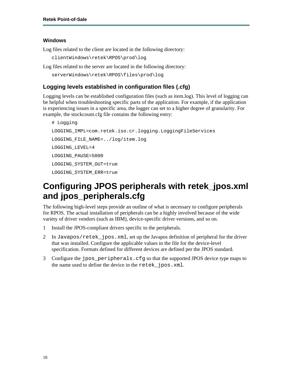#### **Windows**

Log files related to the client are located in the following directory:

```
clientWindows\retek\RPOS\prod\log
```
Log files related to the server are located in the following directory:

```
serverWindows\retek\RPOS\files\prod\log
```
#### <span id="page-27-0"></span>**Logging levels established in configuration files (.cfg)**

Logging levels can be established configuration files (such as item.log). This level of logging can be helpful when troubleshooting specific parts of the application. For example, if the application is experiencing issues in a specific area, the logger can set to a higher degree of granularity. For example, the stockcount.cfg file contains the following entry:

```
# Logging 
LOGGING_IMPL=com.retek.iso.cr.logging.LoggingFileServices 
LOGGING_FILE_NAME=../log/item.log 
LOGGING_LEVEL=4 
LOGGING_PAUSE=5000 
LOGGING_SYSTEM_OUT=true 
LOGGING_SYSTEM_ERR=true
```
### <span id="page-27-1"></span>**Configuring JPOS peripherals with retek\_jpos.xml and jpos\_peripherals.cfg**

The following high-level steps provide an outline of what is necessary to configure peripherals for RPOS. The actual installation of peripherals can be a highly involved because of the wide variety of driver vendors (such as IBM), device-specific driver versions, and so on.

- 1 Install the JPOS-compliant drivers specific to the peripherals.
- 2 In Javapos/retek\_jpos.xml, set up the Javapos definition of peripheral for the driver that was installed. Configure the applicable values in the file for the device-level specification. Formats defined for different devices are defined per the JPOS standard.
- 3 Configure the jpos\_peripherals.cfg so that the supported JPOS device type maps to the name used to define the device in the retek\_jpos.xml.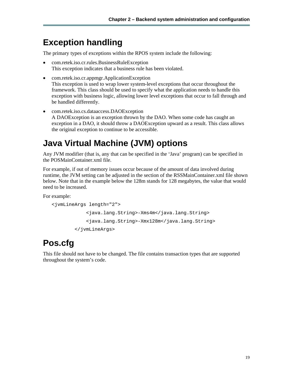### <span id="page-28-0"></span>**Exception handling**

The primary types of exceptions within the RPOS system include the following:

- com.retek.iso.cr.rules.BusinessRuleException This exception indicates that a business rule has been violated.
- com.retek.iso.cr.appmgr.ApplicationException This exception is used to wrap lower system-level exceptions that occur throughout the framework. This class should be used to specify what the application needs to handle this exception with business logic, allowing lower level exceptions that occur to fall through and be handled differently.
- com.retek.iso.cs.dataaccess.DAOException A DAOException is an exception thrown by the DAO. When some code has caught an exception in a DAO, it should throw a DAOException upward as a result. This class allows the original exception to continue to be accessible.

# <span id="page-28-1"></span>**Java Virtual Machine (JVM) options**

Any JVM modifier (that is, any that can be specified in the 'Java' program) can be specified in the POSMainContainer.xml file.

For example, if out of memory issues occur because of the amount of data involved during runtime, the JVM setting can be adjusted in the section of the RSSMainContainer.xml file shown below. Note that in the example below the 128m stands for 128 megabytes, the value that would need to be increased.

For example:

```
<jvmLineArgs length="2"> 
             <java.lang.String>-Xms4m</java.lang.String> 
             <java.lang.String>-Xmx128m</java.lang.String> 
         </jvmLineArgs>
```
# <span id="page-28-2"></span>**Pos.cfg**

This file should not have to be changed. The file contains transaction types that are supported throughout the system's code.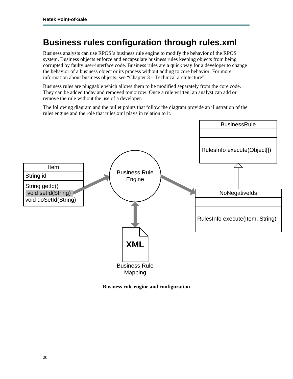## <span id="page-29-0"></span>**Business rules configuration through rules.xml**

Business analysts can use RPOS's business rule engine to modify the behavior of the RPOS system. Business objects enforce and encapsulate business rules keeping objects from being corrupted by faulty user-interface code. Business rules are a quick way for a developer to change the behavior of a business object or its process without adding to core behavior. For more information about business objects, see "Chapter 3 – Technical architecture".

Business rules are pluggable which allows them to be modified separately from the core code. They can be added today and removed tomorrow. Once a rule written, an analyst can add or remove the rule without the use of a developer.

The following diagram and the bullet points that follow the diagram provide an illustration of the rules engine and the role that rules.xml plays in relation to it.



**Business rule engine and configuration**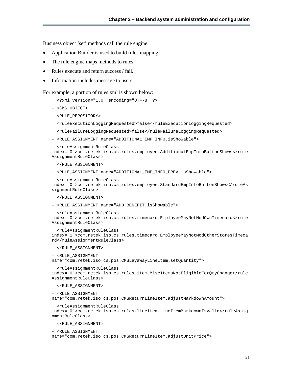Business object 'set' methods call the rule engine.

- Application Builder is used to build rules mapping.
- The rule engine maps methods to rules.
- Rules execute and return success / fail.
- Information includes message to users.

For example, a portion of rules.xml is shown below:

- <?xml version="1.0" encoding="UTF-8" ?>
- <CMS\_OBJECT>
- <RULE\_REPOSITORY>
	- <ruleExecutionLoggingRequested>false</ruleExecutionLoggingRequested>
	- <ruleFailureLoggingRequested>false</ruleFailureLoggingRequested>
- <RULE\_ASSIGNMENT name="ADDITIONAL\_EMP\_INFO.isShowable">

<ruleAssignmentRuleClass

```
index="0">com.retek.iso.cs.rules.employee.AdditionalEmpInfoButtonShows</rule
AssignmentRuleClass>
```
</RULE\_ASSIGNMENT>

- <RULE\_ASSIGNMENT name="ADDITIONAL\_EMP\_INFO\_PREV.isShowable">

```
 <ruleAssignmentRuleClass
```
index="0">com.retek.iso.cs.rules.employee.StandardEmpInfoButtonShows</ruleAs signmentRuleClass>

</RULE\_ASSIGNMENT>

- <RULE\_ASSIGNMENT name="ADD\_BENEFIT.isShowable">

```
 <ruleAssignmentRuleClass 
index="0">com.retek.iso.cs.rules.timecard.EmployeeMayNotModOwnTimecard</rule
AssignmentRuleClass>
```

```
 <ruleAssignmentRuleClass 
index="1">com.retek.iso.cs.rules.timecard.EmployeeMayNotModOtherStoresTimeca
rd</ruleAssignmentRuleClass>
```
</RULE\_ASSIGNMENT>

```
- <RULE_ASSIGNMENT
```
name="com.retek.iso.cs.pos.CMSLayawayLineItem.setQuantity">

```
 <ruleAssignmentRuleClass 
index="0">com.retek.iso.cs.rules.item.MiscItemsNotEligibleForQtyChange</rule
AssignmentRuleClass>
```
</RULE\_ASSIGNMENT>

```
- <RULE_ASSIGNMENT
```
name="com.retek.iso.cs.pos.CMSReturnLineItem.adjustMarkdownAmount">

```
 <ruleAssignmentRuleClass
```
index="0">com.retek.iso.cs.rules.lineitem.LineItemMarkdownIsValid</ruleAssig nmentRuleClass>

</RULE\_ASSIGNMENT>

- <RULE\_ASSIGNMENT

name="com.retek.iso.cs.pos.CMSReturnLineItem.adjustUnitPrice">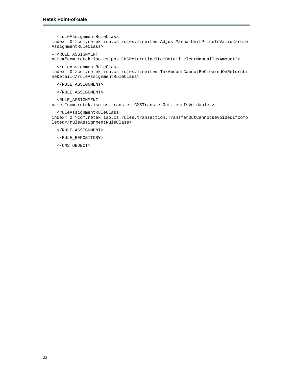```
 <ruleAssignmentRuleClass 
index="0">com.retek.iso.cs.rules.lineitem.AdjustManualUnitPriceIsValid</rule
AssignmentRuleClass>
```

```
- <RULE_ASSIGNMENT
```

```
name="com.retek.iso.cs.pos.CMSReturnLineItemDetail.clearManualTaxAmount">
```
 <ruleAssignmentRuleClass index="0">com.retek.iso.cs.rules.lineitem.TaxAmountCannotBeClearedOnReturnLi neDetail</ruleAssignmentRuleClass>

</RULE\_ASSIGNMENT>

</RULE\_ASSIGNMENT>

- <RULE\_ASSIGNMENT

name="com.retek.iso.cs.transfer.CMSTransferOut.testIsVoidable">

<ruleAssignmentRuleClass

index="0">com.retek.iso.cs.rules.transaction.TransferOutCannotBeVoidedIfComp leted</ruleAssignmentRuleClass>

</RULE\_ASSIGNMENT>

</RULE\_REPOSITORY>

</CMS\_OBJECT>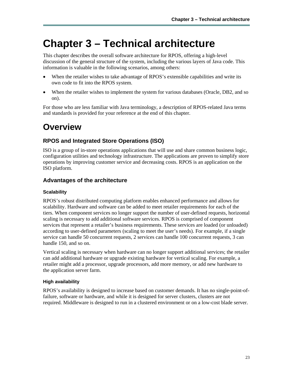# <span id="page-32-0"></span>**Chapter 3 – Technical architecture**

This chapter describes the overall software architecture for RPOS, offering a high-level discussion of the general structure of the system, including the various layers of Java code. This information is valuable in the following scenarios, among others:

- When the retailer wishes to take advantage of RPOS's extensible capabilities and write its own code to fit into the RPOS system.
- When the retailer wishes to implement the system for various databases (Oracle, DB2, and so on).

For those who are less familiar with Java terminology, a description of RPOS-related Java terms and standards is provided for your reference at the end of this chapter.

# <span id="page-32-1"></span>**Overview**

#### <span id="page-32-2"></span>**RPOS and Integrated Store Operations (ISO)**

ISO is a group of in-store operations applications that will use and share common business logic, configuration utilities and technology infrastructure. The applications are proven to simplify store operations by improving customer service and decreasing costs. RPOS is an application on the ISO platform.

#### <span id="page-32-3"></span>**Advantages of the architecture**

#### **Scalability**

RPOS's robust distributed computing platform enables enhanced performance and allows for scalability. Hardware and software can be added to meet retailer requirements for each of the tiers. When component services no longer support the number of user-defined requests, horizontal scaling is necessary to add additional software services. RPOS is comprised of component services that represent a retailer's business requirements. These services are loaded (or unloaded) according to user-defined parameters (scaling to meet the user's needs). For example, if a single service can handle 50 concurrent requests, 2 services can handle 100 concurrent requests, 3 can handle 150, and so on.

Vertical scaling is necessary when hardware can no longer support additional services; the retailer can add additional hardware or upgrade existing hardware for vertical scaling. For example, a retailer might add a processor, upgrade processors, add more memory, or add new hardware to the application server farm.

#### **High availability**

RPOS's availability is designed to increase based on customer demands. It has no single-point-offailure, software or hardware, and while it is designed for server clusters, clusters are not required. Middleware is designed to run in a clustered environment or on a low-cost blade server.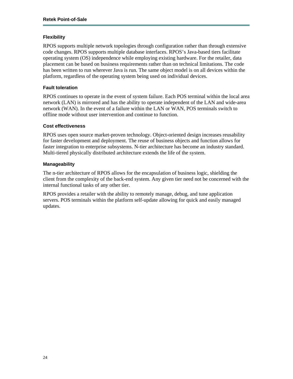#### **Flexibility**

RPOS supports multiple network topologies through configuration rather than through extensive code changes. RPOS supports multiple database interfaces. RPOS's Java-based tiers facilitate operating system (OS) independence while employing existing hardware. For the retailer, data placement can be based on business requirements rather than on technical limitations. The code has been written to run wherever Java is run. The same object model is on all devices within the platform, regardless of the operating system being used on individual devices.

#### **Fault toleration**

RPOS continues to operate in the event of system failure. Each POS terminal within the local area network (LAN) is mirrored and has the ability to operate independent of the LAN and wide-area network (WAN). In the event of a failure within the LAN or WAN, POS terminals switch to offline mode without user intervention and continue to function.

#### **Cost effectiveness**

RPOS uses open source market-proven technology. Object-oriented design increases reusability for faster development and deployment. The reuse of business objects and function allows for faster integration to enterprise subsystems. N-tier architecture has become an industry standard. Multi-tiered physically distributed architecture extends the life of the system.

#### **Manageability**

The n-tier architecture of RPOS allows for the encapsulation of business logic, shielding the client from the complexity of the back-end system. Any given tier need not be concerned with the internal functional tasks of any other tier.

RPOS provides a retailer with the ability to remotely manage, debug, and tune application servers. POS terminals within the platform self-update allowing for quick and easily managed updates.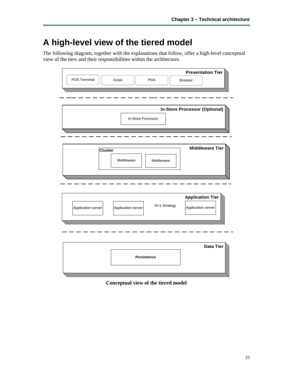# <span id="page-34-0"></span>**A high-level view of the tiered model**

The following diagram, together with the explanations that follow, offer a high-level conceptual view of the tiers and their responsibilities within the architecture.

| <b>Presentation Tier</b><br>POS Terminal<br>Kiosk<br><b>PDA</b><br><b>Browser</b>                         |
|-----------------------------------------------------------------------------------------------------------|
| <b>In-Store Processor (Optional)</b><br>In-Store Processor                                                |
| <b>Middleware Tier</b>                                                                                    |
| <b>Cluster</b><br>Middleware<br>Middleware                                                                |
| <b>Application Tier</b><br>N+1 Strategy<br>Application server<br>Application server<br>Application server |
| <b>Data Tier</b><br><b>Persistence</b>                                                                    |

**Conceptual view of the tiered model**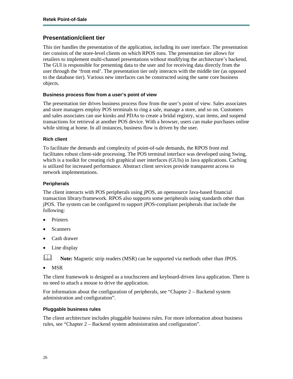#### <span id="page-35-0"></span>**Presentation/client tier**

This tier handles the presentation of the application, including its user interface. The presentation tier consists of the store-level clients on which RPOS runs. The presentation tier allows for retailers to implement multi-channel presentations without modifying the architecture's backend. The GUI is responsible for presenting data to the user and for receiving data directly from the user through the 'front end'. The presentation tier only interacts with the middle tier (as opposed to the database tier). Various new interfaces can be constructed using the same core business objects.

#### **Business process flow from a user's point of view**

The presentation tier drives business process flow from the user's point of view. Sales associates and store managers employ POS terminals to ring a sale, manage a store, and so on. Customers and sales associates can use kiosks and PDAs to create a bridal registry, scan items, and suspend transactions for retrieval at another POS device. With a browser, users can make purchases online while sitting at home. In all instances, business flow is driven by the user.

#### **Rich client**

To facilitate the demands and complexity of point-of-sale demands, the RPOS front end facilitates robust client-side processing. The POS terminal interface was developed using Swing, which is a toolkit for creating rich graphical user interfaces (GUIs) in Java applications. Caching is utilized for increased performance. Abstract client services provide transparent access to network implementations.

#### **Peripherals**

The client interacts with POS peripherals using jPOS, an opensource Java-based financial transaction library/framework. RPOS also supports some peripherals using standards other than jPOS. The system can be configured to support jPOS-compliant peripherals that include the following:

- **Printers**
- **Scanners**
- Cash drawer
- Line display

**Note:** Magnetic strip readers (MSR) can be supported via methods other than JPOS.

• MSR

The client framework is designed as a touchscreen and keyboard-driven Java application. There is no need to attach a mouse to drive the application.

For information about the configuration of peripherals, see "Chapter 2 – Backend system administration and configuration".

#### **Pluggable business rules**

The client architecture includes pluggable business rules. For more information about business rules, see "Chapter 2 – Backend system administration and configuration".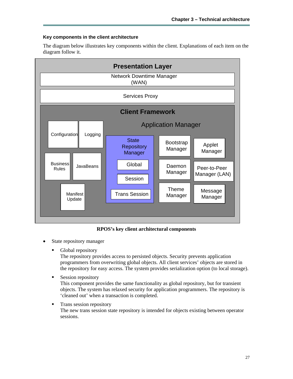#### **Key components in the client architecture**

The diagram below illustrates key components within the client. Explanations of each item on the diagram follow it.



**RPOS's key client architectural components** 

- State repository manager
	- **Global repository**

The repository provides access to persisted objects. Security prevents application programmers from overwriting global objects. All client services' objects are stored in the repository for easy access. The system provides serialization option (to local storage).

- Session repository This component provides the same functionality as global repository, but for transient objects. The system has relaxed security for application programmers. The repository is 'cleaned out' when a transaction is completed.
- **Trans session repository**

The new trans session state repository is intended for objects existing between operator sessions.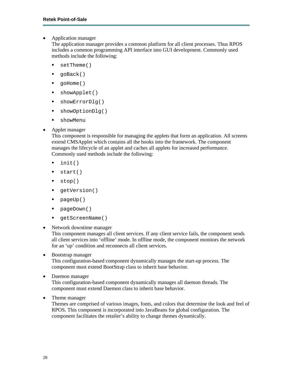• Application manager

The application manager provides a common platform for all client processes. Thus RPOS includes a common programming API interface into GUI development. Commonly used methods include the following:

- setTheme()
- goBack()
- goHome()
- showApplet()
- showErrorDlg()
- showOptionDlg()
- showMenu
- Applet manager

This component is responsible for managing the applets that form an application. All screens extend CMSApplet which contains all the hooks into the framework. The component manages the lifecycle of an applet and caches all applets for increased performance. Commonly used methods include the following:

- $\blacksquare$  init()
- $\blacksquare$  start()
- stop()
- qetVersion()
- pageUp()
- pageDown()
- getScreenName()
- Network downtime manager

This component manages all client services. If any client service fails, the component sends all client services into 'offline' mode. In offline mode, the component monitors the network for an 'up' condition and reconnects all client services.

• Bootstrap manager

This configuration-based component dynamically manages the start-up process. The component must extend BootStrap class to inherit base behavior.

- Daemon manager This configuration-based component dynamically manages all daemon threads. The component must extend Daemon class to inherit base behavior.
- Theme manager

Themes are comprised of various images, fonts, and colors that determine the look and feel of RPOS. This component is incorporated into JavaBeans for global configuration. The component facilitates the retailer's ability to change themes dynamically.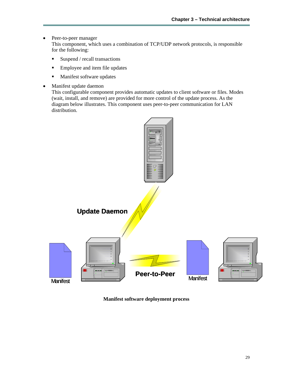- Peer-to-peer manager This component, which uses a combination of TCP/UDP network protocols, is responsible for the following:
	- $\blacksquare$  Suspend / recall transactions
	- Employee and item file updates
	- **Manifest software updates**
- Manifest update daemon

This configurable component provides automatic updates to client software or files. Modes (wait, install, and remove) are provided for more control of the update process. As the diagram below illustrates. This component uses peer-to-peer communication for LAN distribution.



**Manifest software deployment process**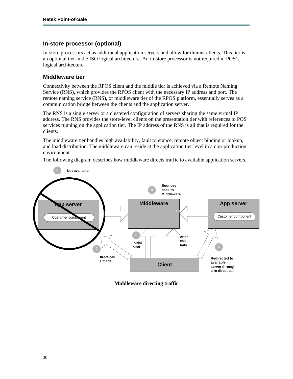### **In-store processor (optional)**

In-store processors act as additional application servers and allow for thinner clients. This tier is an optional tier in the ISO logical architecture. An in-store processor is not required in POS's logical architecture.

### **Middleware tier**

Connectivity between the RPOS client and the middle tier is achieved via a Remote Naming Service (RNS), which provides the RPOS client with the necessary IP address and port. The remote naming service (RNS), or middleware tier of the RPOS platform, essentially serves as a communication bridge between the clients and the application server.

The RNS is a single server or a clustered configuration of servers sharing the same virtual IP address. The RNS provides the store-level clients on the presentation tier with references to POS services running on the application tier. The IP address of the RNS is all that is required for the clients.

The middleware tier handles high availability, fault tolerance, remote object binding or lookup, and load distribution. The middleware can reside at the application tier level in a non-production environment.

The following diagram describes how middleware directs traffic to available application servers.



**Middleware directing traffic**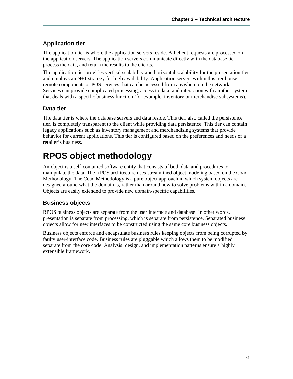### **Application tier**

The application tier is where the application servers reside. All client requests are processed on the application servers. The application servers communicate directly with the database tier, process the data, and return the results to the clients.

The application tier provides vertical scalability and horizontal scalability for the presentation tier and employs an N+1 strategy for high availability. Application servers within this tier house remote components or POS services that can be accessed from anywhere on the network. Services can provide complicated processing, access to data, and interaction with another system that deals with a specific business function (for example, inventory or merchandise subsystems).

### **Data tier**

The data tier is where the database servers and data reside. This tier, also called the persistence tier, is completely transparent to the client while providing data persistence. This tier can contain legacy applications such as inventory management and merchandising systems that provide behavior for current applications. This tier is configured based on the preferences and needs of a retailer's business.

# **RPOS object methodology**

An object is a self-contained software entity that consists of both data and procedures to manipulate the data. The RPOS architecture uses streamlined object modeling based on the Coad Methodology. The Coad Methodology is a pure object approach in which system objects are designed around what the domain is, rather than around how to solve problems within a domain. Objects are easily extended to provide new domain-specific capabilities.

### **Business objects**

RPOS business objects are separate from the user interface and database. In other words, presentation is separate from processing, which is separate from persistence. Separated business objects allow for new interfaces to be constructed using the same core business objects.

Business objects enforce and encapsulate business rules keeping objects from being corrupted by faulty user-interface code. Business rules are pluggable which allows them to be modified separate from the core code. Analysis, design, and implementation patterns ensure a highly extensible framework.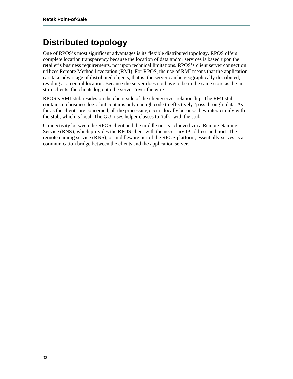# **Distributed topology**

One of RPOS's most significant advantages is its flexible distributed topology. RPOS offers complete location transparency because the location of data and/or services is based upon the retailer's business requirements, not upon technical limitations. RPOS's client server connection utilizes Remote Method Invocation (RMI). For RPOS, the use of RMI means that the application can take advantage of distributed objects; that is, the server can be geographically distributed, residing at a central location. Because the server does not have to be in the same store as the instore clients, the clients log onto the server 'over the wire'.

RPOS's RMI stub resides on the client side of the client/server relationship. The RMI stub contains no business logic but contains only enough code to effectively 'pass through' data. As far as the clients are concerned, all the processing occurs locally because they interact only with the stub, which is local. The GUI uses helper classes to 'talk' with the stub.

Connectivity between the RPOS client and the middle tier is achieved via a Remote Naming Service (RNS), which provides the RPOS client with the necessary IP address and port. The remote naming service (RNS), or middleware tier of the RPOS platform, essentially serves as a communication bridge between the clients and the application server.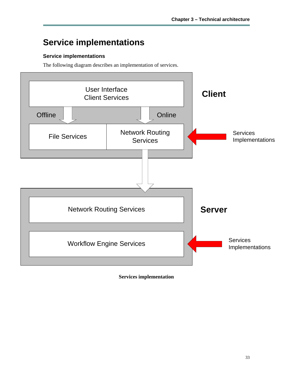# **Service implementations**

### **Service implementations**

The following diagram describes an implementation of services.



**Services implementation**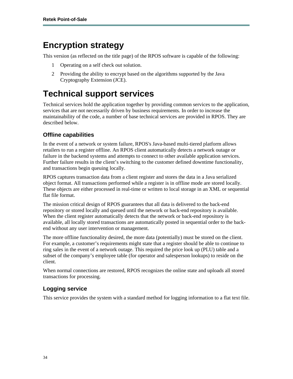# **Encryption strategy**

This version (as reflected on the title page) of the RPOS software is capable of the following:

- 1 Operating on a self check out solution.
- 2 Providing the ability to encrypt based on the algorithms supported by the Java Cryptography Extension (JCE).

# **Technical support services**

Technical services hold the application together by providing common services to the application, services that are not necessarily driven by business requirements. In order to increase the maintainability of the code, a number of base technical services are provided in RPOS. They are described below.

### **Offline capabilities**

In the event of a network or system failure, RPOS's Java-based multi-tiered platform allows retailers to run a register offline. An RPOS client automatically detects a network outage or failure in the backend systems and attempts to connect to other available application services. Further failure results in the client's switching to the customer defined downtime functionality, and transactions begin queuing locally.

RPOS captures transaction data from a client register and stores the data in a Java serialized object format. All transactions performed while a register is in offline mode are stored locally. These objects are either processed in real-time or written to local storage in an XML or sequential flat file format.

The mission critical design of RPOS guarantees that all data is delivered to the back-end repository or stored locally and queued until the network or back-end repository is available. When the client register automatically detects that the network or back-end repository is available, all locally stored transactions are automatically posted in sequential order to the backend without any user intervention or management.

The more offline functionality desired, the more data (potentially) must be stored on the client. For example, a customer's requirements might state that a register should be able to continue to ring sales in the event of a network outage. This required the price look up (PLU) table and a subset of the company's employee table (for operator and salesperson lookups) to reside on the client.

When normal connections are restored, RPOS recognizes the online state and uploads all stored transactions for processing.

### **Logging service**

This service provides the system with a standard method for logging information to a flat text file.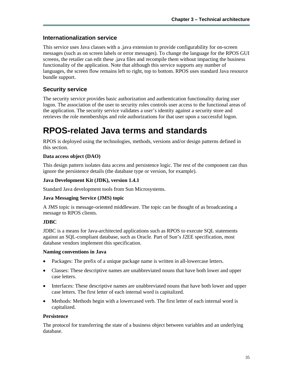### **Internationalization service**

This service uses Java classes with a .java extension to provide configurability for on-screen messages (such as on screen labels or error messages). To change the language for the RPOS GUI screens, the retailer can edit these .java files and recompile them without impacting the business functionality of the application. Note that although this service supports any number of languages, the screen flow remains left to right, top to bottom. RPOS uses standard Java resource bundle support.

### **Security service**

The security service provides basic authorization and authentication functionality during user logon. The association of the user to security roles controls user access to the functional areas of the application. The security service validates a user's identity against a security store and retrieves the role memberships and role authorizations for that user upon a successful logon.

### **RPOS-related Java terms and standards**

RPOS is deployed using the technologies, methods, versions and/or design patterns defined in this section.

#### **Data access object (DAO)**

This design pattern isolates data access and persistence logic. The rest of the component can thus ignore the persistence details (the database type or version, for example).

#### **Java Development Kit (JDK), version 1.4.1**

Standard Java development tools from Sun Microsystems.

#### **Java Messaging Service (JMS) topic**

A JMS topic is message-oriented middleware. The topic can be thought of as broadcasting a message to RPOS clients.

#### **JDBC**

JDBC is a means for Java-architected applications such as RPOS to execute SQL statements against an SQL-compliant database, such as Oracle. Part of Sun's J2EE specification, most database vendors implement this specification.

#### **Naming conventions in Java**

- Packages: The prefix of a unique package name is written in all-lowercase letters.
- Classes: These descriptive names are unabbreviated nouns that have both lower and upper case letters.
- Interfaces: These descriptive names are unabbreviated nouns that have both lower and upper case letters. The first letter of each internal word is capitalized.
- Methods: Methods begin with a lowercased verb. The first letter of each internal word is capitalized.

#### **Persistence**

The protocol for transferring the state of a business object between variables and an underlying database.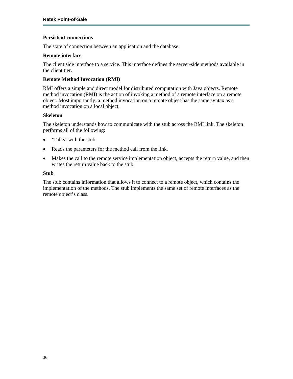#### **Persistent connections**

The state of connection between an application and the database.

#### **Remote interface**

The client side interface to a service. This interface defines the server-side methods available in the client tier.

#### **Remote Method Invocation (RMI)**

RMI offers a simple and direct model for distributed computation with Java objects. Remote method invocation (RMI) is the action of invoking a method of a remote interface on a remote object. Most importantly, a method invocation on a remote object has the same syntax as a method invocation on a local object.

#### **Skeleton**

The skeleton understands how to communicate with the stub across the RMI link. The skeleton performs all of the following:

- 'Talks' with the stub.
- Reads the parameters for the method call from the link.
- Makes the call to the remote service implementation object, accepts the return value, and then writes the return value back to the stub.

#### **Stub**

The stub contains information that allows it to connect to a remote object, which contains the implementation of the methods. The stub implements the same set of remote interfaces as the remote object's class.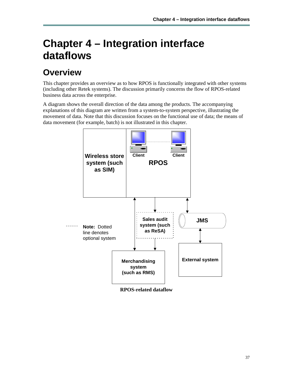# **Chapter 4 – Integration interface dataflows**

# **Overview**

This chapter provides an overview as to how RPOS is functionally integrated with other systems (including other Retek systems). The discussion primarily concerns the flow of RPOS-related business data across the enterprise.

A diagram shows the overall direction of the data among the products. The accompanying explanations of this diagram are written from a system-to-system perspective, illustrating the movement of data. Note that this discussion focuses on the functional use of data; the means of data movement (for example, batch) is not illustrated in this chapter.



**RPOS-related dataflow**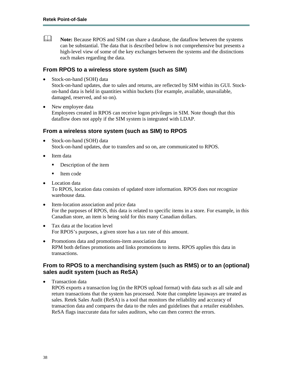**Note:** Because RPOS and SIM can share a database, the dataflow between the systems can be substantial. The data that is described below is not comprehensive but presents a high-level view of some of the key exchanges between the systems and the distinctions each makes regarding the data.

#### **From RPOS to a wireless store system (such as SIM)**

Stock-on-hand (SOH) data

Stock-on-hand updates, due to sales and returns, are reflected by SIM within its GUI. Stockon-hand data is held in quantities within buckets (for example, available, unavailable, damaged, reserved, and so on).

• New employee data Employees created in RPOS can receive logon privileges in SIM. Note though that this dataflow does not apply if the SIM system is integrated with LDAP.

#### **From a wireless store system (such as SIM) to RPOS**

- Stock-on-hand (SOH) data Stock-on-hand updates, due to transfers and so on, are communicated to RPOS.
- Item data
	- Description of the item
	- $\blacksquare$  Item code
- Location data To RPOS, location data consists of updated store information. RPOS does *not* recognize warehouse data.
- Item-location association and price data For the purposes of RPOS, this data is related to specific items in a store. For example, in this Canadian store, an item is being sold for this many Canadian dollars.
- Tax data at the location level For RPOS's purposes, a given store has a tax rate of this amount.
- Promotions data and promotions-item association data RPM both defines promotions and links promotions to items. RPOS applies this data in transactions.

### **From to RPOS to a merchandising system (such as RMS) or to an (optional) sales audit system (such as ReSA)**

• Transaction data

RPOS exports a transaction log (in the RPOS upload format) with data such as all sale and return transactions that the system has processed. Note that complete layaways are treated as sales. Retek Sales Audit (ReSA) is a tool that monitors the reliability and accuracy of transaction data and compares the data to the rules and guidelines that a retailer establishes. ReSA flags inaccurate data for sales auditors, who can then correct the errors.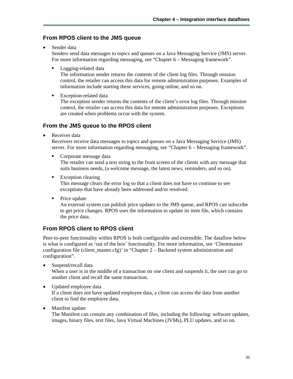### **From RPOS client to the JMS queue**

• Sender data

Senders send data messages to topics and queues on a Java Messaging Service (JMS) server. For more information regarding messaging, see "Chapter 6 – Messaging framework".

**Logging-related data** 

The information sender returns the contents of the client log files. Through mission control, the retailer can access this data for remote administration purposes. Examples of information include starting these services, going online, and so on.

**Exception-related data** 

The exception sender returns the contents of the client's error log files. Through mission control, the retailer can access this data for remote administration purposes. Exceptions are created when problems occur with the system.

### **From the JMS queue to the RPOS client**

Receiver data

Receivers receive data messages to topics and queues on a Java Messaging Service (JMS) server. For more information regarding messaging, see "Chapter 6 – Messaging framework".

Corporate message data

The retailer can send a text string to the front screen of the clients with any message that suits business needs, (a welcome message, the latest news, reminders, and so on).

**Exception clearing** 

This message clears the error log so that a client does not have to continue to see exceptions that have already been addressed and/or resolved.

• Price update

An external system can publish price updates to the JMS queue, and RPOS can subscribe to get price changes. RPOS uses the information to update its item file, which contains the price data.

### **From RPOS client to RPOS client**

Peer-to-peer functionality within RPOS is both configurable and extensible. The dataflow below is what is configured as 'out of the box' functionality. For more information, see 'Clientmaster configuration file (client\_master.cfg)' in "Chapter 2 – Backend system administration and configuration".

• Suspend/recall data

When a user is in the middle of a transaction on one client and suspends it, the user can go to another client and recall the same transaction.

• Updated employee data

If a client does not have updated employee data, a client can access the data from another client to find the employee data.

• Manifest update The Manifest can contain any combination of files, including the following: software updates, images, binary files, text files, Java Virtual Machines (JVMs), PLU updates, and so on.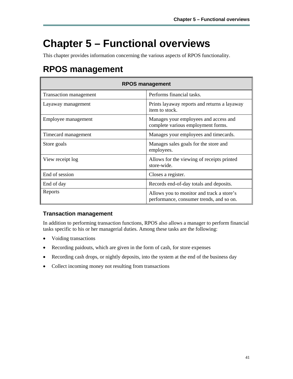# **Chapter 5 – Functional overviews**

This chapter provides information concerning the various aspects of RPOS functionality.

# **RPOS management**

| <b>RPOS management</b> |                                                                                       |  |  |
|------------------------|---------------------------------------------------------------------------------------|--|--|
| Transaction management | Performs financial tasks.                                                             |  |  |
| Layaway management     | Prints layaway reports and returns a layaway<br>item to stock.                        |  |  |
| Employee management    | Manages your employees and access and<br>complete various employment forms.           |  |  |
| Timecard management    | Manages your employees and timecards.                                                 |  |  |
| Store goals            | Manages sales goals for the store and<br>employees.                                   |  |  |
| View receipt log       | Allows for the viewing of receipts printed<br>store-wide.                             |  |  |
| End of session         | Closes a register.                                                                    |  |  |
| End of day             | Records end-of-day totals and deposits.                                               |  |  |
| Reports                | Allows you to monitor and track a store's<br>performance, consumer trends, and so on. |  |  |

### **Transaction management**

In addition to performing transaction functions, RPOS also allows a manager to perform financial tasks specific to his or her managerial duties. Among these tasks are the following:

- Voiding transactions
- Recording paidouts, which are given in the form of cash, for store expenses
- Recording cash drops, or nightly deposits, into the system at the end of the business day
- Collect incoming money not resulting from transactions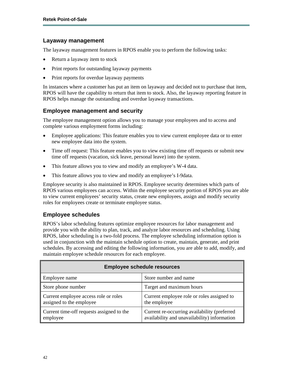### **Layaway management**

The layaway management features in RPOS enable you to perform the following tasks:

- Return a layaway item to stock
- Print reports for outstanding layaway payments
- Print reports for overdue layaway payments

In instances where a customer has put an item on layaway and decided not to purchase that item, RPOS will have the capability to return that item to stock. Also, the layaway reporting feature in RPOS helps manage the outstanding and overdue layaway transactions.

### **Employee management and security**

The employee management option allows you to manage your employees and to access and complete various employment forms including:

- Employee applications: This feature enables you to view current employee data or to enter new employee data into the system.
- Time off request: This feature enables you to view existing time off requests or submit new time off requests (vacation, sick leave, personal leave) into the system.
- This feature allows you to view and modify an employee's W-4 data.
- This feature allows you to view and modify an employee's I-9data.

Employee security is also maintained in RPOS. Employee security determines which parts of RPOS various employees can access. Within the employee security portion of RPOS you are able to view current employees' security status, create new employees, assign and modify security roles for employees create or terminate employee status.

### **Employee schedules**

RPOS's labor scheduling features optimize employee resources for labor management and provide you with the ability to plan, track, and analyze labor resources and scheduling. Using RPOS, labor scheduling is a two-fold process. The employee scheduling information option is used in conjunction with the maintain schedule option to create, maintain, generate, and print schedules. By accessing and editing the following information, you are able to add, modify, and maintain employee schedule resources for each employee.

| <b>Employee schedule resources</b>                                |                                                                                              |  |  |
|-------------------------------------------------------------------|----------------------------------------------------------------------------------------------|--|--|
| <b>Employee name</b>                                              | Store number and name                                                                        |  |  |
| Store phone number                                                | Target and maximum hours                                                                     |  |  |
| Current employee access role or roles<br>assigned to the employee | Current employee role or roles assigned to<br>the employee                                   |  |  |
| Current time-off requests assigned to the<br>employee             | Current re-occurring availability (preferred<br>availability and unavailability) information |  |  |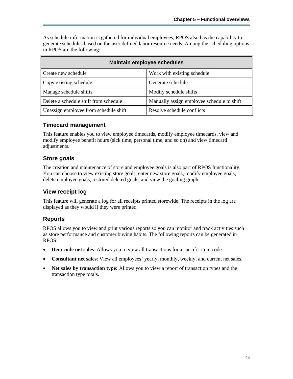As schedule information is gathered for individual employees, RPOS also has the capability to generate schedules based on the user defined labor resource needs. Among the scheduling options in RPOS are the following:

| Maintain employee schedules           |                                            |  |  |
|---------------------------------------|--------------------------------------------|--|--|
| Create new schedule                   | Work with existing schedule                |  |  |
| Copy existing schedule                | Generate schedule                          |  |  |
| Manage schedule shifts                | Modify schedule shifts                     |  |  |
| Delete a schedule shift from schedule | Manually assign employee schedule to shift |  |  |
| Unassign employee from schedule shift | Resolve schedule conflicts                 |  |  |

### **Timecard management**

This feature enables you to view employee timecards, modify employee timecards, view and modify employee benefit hours (sick time, personal time, and so on) and view timecard adjustments.

### **Store goals**

The creation and maintenance of store and employee goals is also part of RPOS functionality. You can choose to view existing store goals, enter new store goals, modify employee goals, delete employee goals, restored deleted goals, and view the goaling graph.

### **View receipt log**

This feature will generate a log for all receipts printed storewide. The receipts in the log are displayed as they would if they were printed.

### **Reports**

RPOS allows you to view and print various reports so you can monitor and track activities such as store performance and customer buying habits. The following reports can be generated in RPOS:

- **Item code net sales**: Allows you to view all transactions for a specific item code.
- **Consultant net sales**: View all employees' yearly, monthly, weekly, and current net sales.
- **Net sales by transaction type:** Allows you to view a report of transaction types and the transaction type totals.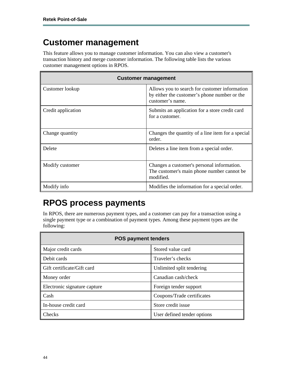## **Customer management**

This feature allows you to manage customer information. You can also view a customer's transaction history and merge customer information. The following table lists the various customer management options in RPOS.

| <b>Customer management</b> |                                                                                                                   |  |  |
|----------------------------|-------------------------------------------------------------------------------------------------------------------|--|--|
| Customer lookup            | Allows you to search for customer information<br>by either the customer's phone number or the<br>customer's name. |  |  |
| Credit application         | Submits an application for a store credit card<br>for a customer.                                                 |  |  |
| Change quantity            | Changes the quantity of a line item for a special<br>order.                                                       |  |  |
| Delete                     | Deletes a line item from a special order.                                                                         |  |  |
| Modify customer            | Changes a customer's personal information.<br>The customer's main phone number cannot be<br>modified.             |  |  |
| Modify info                | Modifies the information for a special order.                                                                     |  |  |

# **RPOS process payments**

In RPOS, there are numerous payment types, and a customer can pay for a transaction using a single payment type or a combination of payment types. Among these payment types are the following:

| <b>POS payment tenders</b>   |                             |  |  |
|------------------------------|-----------------------------|--|--|
| Major credit cards           | Stored value card           |  |  |
| Debit cards                  | Traveler's checks           |  |  |
| Gift certificate/Gift card   | Unlimited split tendering   |  |  |
| Money order                  | Canadian cash/check         |  |  |
| Electronic signature capture | Foreign tender support      |  |  |
| Cash                         | Coupons/Trade certificates  |  |  |
| In-house credit card         | Store credit issue          |  |  |
| Checks                       | User defined tender options |  |  |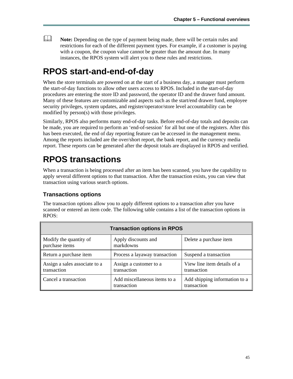**Note:** Depending on the type of payment being made, there will be certain rules and restrictions for each of the different payment types. For example, if a customer is paying with a coupon, the coupon value cannot be greater than the amount due. In many instances, the RPOS system will alert you to these rules and restrictions.

## **RPOS start-and-end-of-day**

When the store terminals are powered on at the start of a business day, a manager must perform the start-of-day functions to allow other users access to RPOS. Included in the start-of-day procedures are entering the store ID and password, the operator ID and the drawer fund amount. Many of these features are customizable and aspects such as the start/end drawer fund, employee security privileges, system updates, and register/operator/store level accountability can be modified by person(s) with those privileges.

Similarly, RPOS also performs many end-of-day tasks. Before end-of-day totals and deposits can be made, you are required to perform an 'end-of-session' for all but one of the registers. After this has been executed, the end of day reporting feature can be accessed in the management menu. Among the reports included are the over/short report, the bank report, and the currency media report. These reports can be generated after the deposit totals are displayed in RPOS and verified.

# **RPOS transactions**

When a transaction is being processed after an item has been scanned, you have the capability to apply several different options to that transaction. After the transaction exists, you can view that transaction using various search options.

### **Transactions options**

The transaction options allow you to apply different options to a transaction after you have scanned or entered an item code. The following table contains a list of the transaction options in RPOS:

| <b>Transaction options in RPOS</b>           |                                             |                                              |  |  |
|----------------------------------------------|---------------------------------------------|----------------------------------------------|--|--|
| Modify the quantity of<br>purchase items     | Apply discounts and<br>markdowns            | Delete a purchase item                       |  |  |
| Return a purchase item                       | Process a layaway transaction               | Suspend a transaction                        |  |  |
| Assign a sales associate to a<br>transaction | Assign a customer to a<br>transaction       | View line item details of a<br>transaction   |  |  |
| Cancel a transaction                         | Add miscellaneous items to a<br>transaction | Add shipping information to a<br>transaction |  |  |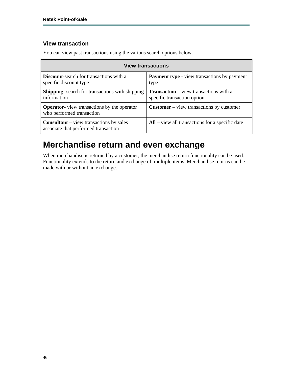### **View transaction**

**View transactions Discount**-search for transactions with a specific discount type **Payment type** - view transactions by payment type **Shipping**- search for transactions with shipping information **Transaction** – view transactions with a specific transaction option **Operator**- view transactions by the operator who performed transaction **Customer** – view transactions by customer **Consultant** – view transactions by sales associate that performed transaction **All** – view all transactions for a specific date

You can view past transactions using the various search options below.

### **Merchandise return and even exchange**

When merchandise is returned by a customer, the merchandise return functionality can be used. Functionality extends to the return and exchange of multiple items. Merchandise returns can be made with or without an exchange.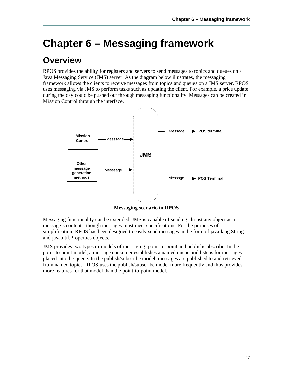# **Chapter 6 – Messaging framework**

## **Overview**

RPOS provides the ability for registers and servers to send messages to topics and queues on a Java Messaging Service (JMS) server. As the diagram below illustrates, the messaging framework allows the clients to receive messages from topics and queues on a JMS server. RPOS uses messaging via JMS to perform tasks such as updating the client. For example, a price update during the day could be pushed out through messaging functionality. Messages can be created in Mission Control through the interface.



**Messaging scenario in RPOS** 

Messaging functionality can be extended. JMS is capable of sending almost any object as a message's contents, though messages must meet specifications. For the purposes of simplification, RPOS has been designed to easily send messages in the form of java.lang.String and java.util.Properties objects.

JMS provides two types or models of messaging: point-to-point and publish/subscribe. In the point-to-point model, a message consumer establishes a named queue and listens for messages placed into the queue. In the publish/subscribe model, messages are published to and retrieved from named topics. RPOS uses the publish/subscribe model more frequently and thus provides more features for that model than the point-to-point model.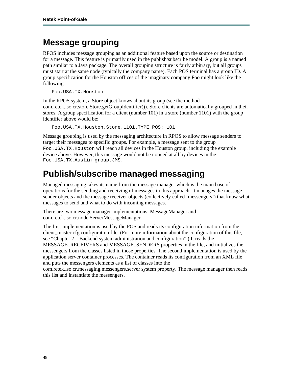# **Message grouping**

RPOS includes message grouping as an additional feature based upon the source or destination for a message. This feature is primarily used in the publish/subscribe model. A group is a named path similar to a Java package. The overall grouping structure is fairly arbitrary, but all groups must start at the same node (typically the company name). Each POS terminal has a group ID. A group specification for the Houston offices of the imaginary company Foo might look like the following:

Foo.USA.TX.Houston

In the RPOS system, a Store object knows about its group (see the method com.retek.iso.cr.store.Store.getGroupIdentifier()). Store clients are automatically grouped in their stores. A group specification for a client (number 101) in a store (number 1101) with the group identifier above would be:

Foo.USA.TX.Houston.Store.1101.TYPE\_POS: 101

Message grouping is used by the messaging architecture in RPOS to allow message senders to target their messages to specific groups. For example, a message sent to the group Foo.USA.TX.Houston will reach all devices in the Houston group, including the example device above. However, this message would not be noticed at all by devices in the Foo.USA.TX.Austin group.JMS.

## **Publish/subscribe managed messaging**

Managed messaging takes its name from the message manager which is the main base of operations for the sending and receiving of messages in this approach. It manages the message sender objects and the message receiver objects (collectively called 'messengers') that know what messages to send and what to do with incoming messages.

There are two message manager implementations: MessageManager and com.retek.iso.cr.node.ServerMessageManager.

The first implementation is used by the POS and reads its configuration information from the client master.cfg configuration file. (For more information about the configuration of this file, see "Chapter 2 – Backend system administration and configuration".) It reads the MESSAGE\_RECEIVERS and MESSAGE\_SENDERS properties in the file, and initializes the messengers from the classes listed in those properties. The second implementation is used by the application server container processes. The container reads its configuration from an XML file and puts the messengers elements as a list of classes into the

com.retek.iso.cr.messaging.messengers.server system property. The message manager then reads this list and instantiate the messengers.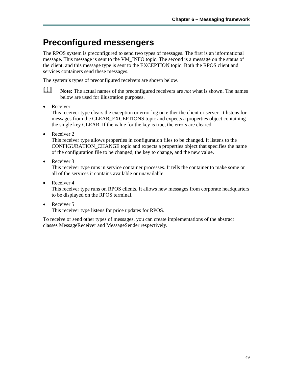# **Preconfigured messengers**

The RPOS system is preconfigured to send two types of messages. The first is an informational message. This message is sent to the VM\_INFO topic. The second is a message on the status of the client, and this message type is sent to the EXCEPTION topic. Both the RPOS client and services containers send these messages.

The system's types of preconfigured receivers are shown below.

**Note:** The actual names of the preconfigured receivers are *not* what is shown. The names below are used for illustration purposes.

• Receiver 1

This receiver type clears the exception or error log on either the client or server. It listens for messages from the CLEAR\_EXCEPTIONS topic and expects a properties object containing the single key CLEAR. If the value for the key is true, the errors are cleared.

• Receiver 2

This receiver type allows properties in configuration files to be changed. It listens to the CONFIGURATION\_CHANGE topic and expects a properties object that specifies the name of the configuration file to be changed, the key to change, and the new value.

• Receiver 3

This receiver type runs in service container processes. It tells the container to make some or all of the services it contains available or unavailable.

• Receiver 4

This receiver type runs on RPOS clients. It allows new messages from corporate headquarters to be displayed on the RPOS terminal.

• Receiver 5

This receiver type listens for price updates for RPOS.

To receive or send other types of messages, you can create implementations of the abstract classes MessageReceiver and MessageSender respectively.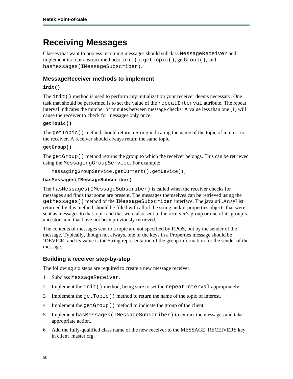### **Receiving Messages**

Classes that want to process incoming messages should subclass MessageReceiver and implement its four abstract methods: init(), getTopic(), getGroup(), and hasMessages(IMessageSubscriber).

### **MessageReceiver methods to implement**

#### **init()**

The  $init()$  method is used to perform any initialization your receiver deems necessary. One task that should be performed is to set the value of the repeatInterval attribute. The repeat interval indicates the number of minutes between message checks. A value less than one (1) will cause the receiver to check for messages only once.

#### **getTopic()**

The getTopic() method should return a String indicating the name of the topic of interest to the receiver. A receiver should always return the same topic.

#### **getGroup()**

The getGroup() method returns the group to which the receiver belongs. This can be retrieved using the MessagingGroupService. For example:

```
MessagingGroupService.getCurrent().getDevice();
```
#### **hasMessages(IMessageSubscriber)**

The hasMessages(IMessageSubscriber) is called when the receiver checks for messages and finds that some are present. The messages themselves can be retrieved using the getMessages() method of the IMessageSubscriber interface. The java.util.ArrayList returned by this method should be filled with all of the string and/or properties objects that were sent as messages to that topic and that were also sent to the receiver's group or one of its group's ancestors and that have not been previously retrieved.

The contents of messages sent to a topic are not specified by RPOS, but by the sender of the message. Typically, though not always, one of the keys in a Properties message should be 'DEVICE' and its value is the String representation of the group information for the sender of the message.

### **Building a receiver step-by-step**

The following six steps are required to create a new message receiver.

- 1 Subclass MessageReceiver.
- 2 Implement the init () method, being sure to set the repeatInterval appropriately.
- 3 Implement the getTopic() method to return the name of the topic of interest.
- 4 Implement the getGroup() method to indicate the group of the client.
- 5 Implement hasMessages(IMessageSubscriber) to extract the messages and take appropriate action.
- 6 Add the fully-qualified class name of the new receiver to the MESSAGE\_RECEIVERS key in client\_master.cfg.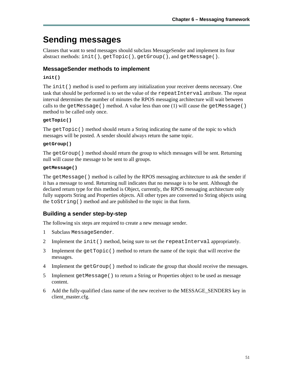# **Sending messages**

Classes that want to send messages should subclass MessageSender and implement its four abstract methods: init(), getTopic(), getGroup(), and getMessage().

### **MessageSender methods to implement**

#### **init()**

The  $init()$  method is used to perform any initialization your receiver deems necessary. One task that should be performed is to set the value of the repeatInterval attribute. The repeat interval determines the number of minutes the RPOS messaging architecture will wait between calls to the getMessage() method. A value less than one  $(1)$  will cause the getMessage() method to be called only once.

#### **getTopic()**

The getTopic() method should return a String indicating the name of the topic to which messages will be posted. A sender should always return the same topic.

#### **getGroup()**

The getGroup() method should return the group to which messages will be sent. Returning null will cause the message to be sent to all groups.

#### **getMessage()**

The getMessage() method is called by the RPOS messaging architecture to ask the sender if it has a message to send. Returning null indicates that no message is to be sent. Although the declared return type for this method is Object, currently, the RPOS messaging architecture only fully supports String and Properties objects. All other types are converted to String objects using the toString() method and are published to the topic in that form.

### **Building a sender step-by-step**

The following six steps are required to create a new message sender.

- 1 Subclass MessageSender.
- 2 Implement the init() method, being sure to set the repeatInterval appropriately.
- 3 Implement the getTopic() method to return the name of the topic that will receive the messages.
- 4 Implement the getGroup () method to indicate the group that should receive the messages.
- 5 Implement getMessage() to return a String or Properties object to be used as message content.
- 6 Add the fully-qualified class name of the new receiver to the MESSAGE\_SENDERS key in client\_master.cfg.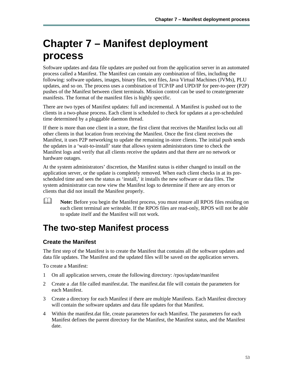# **Chapter 7 – Manifest deployment process**

Software updates and data file updates are pushed out from the application server in an automated process called a Manifest. The Manifest can contain any combination of files, including the following: software updates, images, binary files, text files, Java Virtual Machines (JVMs), PLU updates, and so on. The process uses a combination of TCP/IP and UPD/IP for peer-to-peer (P2P) pushes of the Manifest between client terminals. Mission control can be used to create/generate manifests. The format of the manifest files is highly specific.

There are two types of Manifest updates: full and incremental. A Manifest is pushed out to the clients in a two-phase process. Each client is scheduled to check for updates at a pre-scheduled time determined by a pluggable daemon thread.

If there is more than one client in a store, the first client that receives the Manifest locks out all other clients in that location from receiving the Manifest. Once the first client receives the Manifest, it uses P2P networking to update the remaining in-store clients. The initial push sends the updates in a 'wait-to-install' state that allows system administrators time to check the Manifest logs and verify that all clients receive the updates and that there are no network or hardware outages.

At the system administrators' discretion, the Manifest status is either changed to install on the application server, or the update is completely removed. When each client checks in at its prescheduled time and sees the status as 'install,' it installs the new software or data files. The system administrator can now view the Manifest logs to determine if there are any errors or clients that did not install the Manifest properly.

**Note:** Before you begin the Manifest process, you must ensure all RPOS files residing on each client terminal are writeable. If the RPOS files are read-only, RPOS will not be able to update itself and the Manifest will not work.

# **The two-step Manifest process**

### **Create the Manifest**

The first step of the Manifest is to create the Manifest that contains all the software updates and data file updates. The Manifest and the updated files will be saved on the application servers.

To create a Manifest:

- 1 On all application servers, create the following directory: /rpos/update/manifest
- 2 Create a .dat file called manifest.dat. The manifest.dat file will contain the parameters for each Manifest.
- 3 Create a directory for each Manifest if there are multiple Manifests. Each Manifest directory will contain the software updates and data file updates for that Manifest.
- 4 Within the manifest.dat file, create parameters for each Manifest. The parameters for each Manifest defines the parent directory for the Manifest, the Manifest status, and the Manifest date.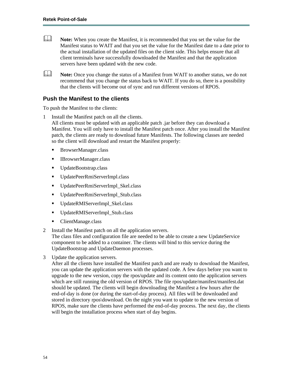**Note:** When you create the Manifest, it is recommended that you set the value for the Manifest status to WAIT and that you set the value for the Manifest date to a date prior to the actual installation of the updated files on the client side. This helps ensure that all client terminals have successfully downloaded the Manifest and that the application servers have been updated with the new code.

**Note:** Once you change the status of a Manifest from WAIT to another status, we do not recommend that you change the status back to WAIT. If you do so, there is a possibility that the clients will become out of sync and run different versions of RPOS.

### **Push the Manifest to the clients**

To push the Manifest to the clients:

- 1 Install the Manifest patch on all the clients. All clients must be updated with an applicable patch .jar before they can download a Manifest. You will only have to install the Manifest patch once. After you install the Manifest patch, the clients are ready to download future Manifests. The following classes are needed so the client will download and restart the Manifest properly:
	- BrowserManager.class
	- IBrowserManager.class
	- UpdateBootstrap.class
	- UpdatePeerRmiServerImpl.class
	- UpdatePeerRmiServerImpl\_Skel.class
	- UpdatePeerRmiServerImpl\_Stub.class
	- UpdateRMIServerImpl\_Skel.class
	- UpdateRMIServerImpl\_Stub.class
	- ClientManage.class
- 2 Install the Manifest patch on all the application servers.

The class files and configuration file are needed to be able to create a new UpdateService component to be added to a container. The clients will bind to this service during the UpdateBootstrap and UpdateDaemon processes.

3 Update the application servers.

After all the clients have installed the Manifest patch and are ready to download the Manifest, you can update the application servers with the updated code. A few days before you want to upgrade to the new version, copy the rpos/update and its content onto the application servers which are still running the old version of RPOS. The file rpos/update/manifest/manifest.dat should be updated. The clients will begin downloading the Manifest a few hours after the end-of-day is done (or during the start-of-day process). All files will be downloaded and stored in directory rpos\download. On the night you want to update to the new version of RPOS, make sure the clients have performed the end-of-day process. The next day, the clients will begin the installation process when start of day begins.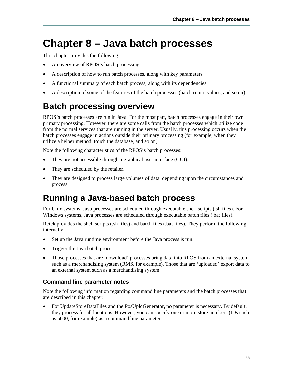# **Chapter 8 – Java batch processes**

This chapter provides the following:

- An overview of RPOS's batch processing
- A description of how to run batch processes, along with key parameters
- A functional summary of each batch process, along with its dependencies
- A description of some of the features of the batch processes (batch return values, and so on)

# **Batch processing overview**

RPOS's batch processes are run in Java. For the most part, batch processes engage in their own primary processing. However, there are some calls from the batch processes which utilize code from the normal services that are running in the server. Usually, this processing occurs when the batch processes engage in actions outside their primary processing (for example, when they utilize a helper method, touch the database, and so on).

Note the following characteristics of the RPOS's batch processes:

- They are not accessible through a graphical user interface (GUI).
- They are scheduled by the retailer.
- They are designed to process large volumes of data, depending upon the circumstances and process.

### **Running a Java-based batch process**

For Unix systems, Java processes are scheduled through executable shell scripts (.sh files). For Windows systems, Java processes are scheduled through executable batch files (.bat files).

Retek provides the shell scripts (.sh files) and batch files (.bat files). They perform the following internally:

- Set up the Java runtime environment before the Java process is run.
- Trigger the Java batch process.
- Those processes that are 'download' processes bring data into RPOS from an external system such as a merchandising system (RMS, for example). Those that are 'uploaded' export data to an external system such as a merchandising system.

### **Command line parameter notes**

Note the following information regarding command line parameters and the batch processes that are described in this chapter:

• For UpdateStoreDataFiles and the PosUpldGenerator, no parameter is necessary. By default, they process for all locations. However, you can specify one or more store numbers (IDs such as 5000, for example) as a command line parameter.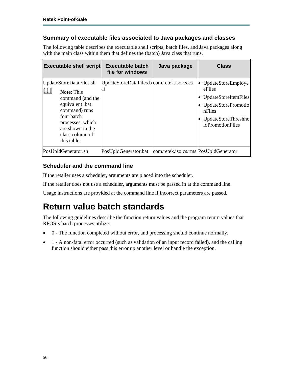### **Summary of executable files associated to Java packages and classes**

The following table describes the executable shell scripts, batch files, and Java packages along with the main class within them that defines the (batch) Java class that runs.

| <b>Executable shell script</b>                                                                                                                                                               | <b>Executable batch</b><br>file for windows       | Java package                          | <b>Class</b>                                                                                                                            |
|----------------------------------------------------------------------------------------------------------------------------------------------------------------------------------------------|---------------------------------------------------|---------------------------------------|-----------------------------------------------------------------------------------------------------------------------------------------|
| UpdateStoreDataFiles.sh<br><b>Note: This</b><br>command (and the<br>equivalent .bat<br>command) runs<br>four batch<br>processes, which<br>are shown in the<br>class column of<br>this table. | UpdateStoreDataFiles.b com.retek.iso.cs.cs<br>lat |                                       | UpdateStoreEmploye<br>eFiles<br>UpdateStoreItemFiles<br>UpdateStorePromotio<br>nFiles<br>UpdateStoreThreshho<br><b>ldPromotionFiles</b> |
| PosUpldGenerator.sh                                                                                                                                                                          | PosUpldGenerator.bat                              | com.retek.iso.cs.rms PosUpIdGenerator |                                                                                                                                         |

### **Scheduler and the command line**

If the retailer uses a scheduler, arguments are placed into the scheduler.

If the retailer does not use a scheduler, arguments must be passed in at the command line.

Usage instructions are provided at the command line if incorrect parameters are passed.

## **Return value batch standards**

The following guidelines describe the function return values and the program return values that RPOS's batch processes utilize:

- 0 The function completed without error, and processing should continue normally.
- 1 A non-fatal error occurred (such as validation of an input record failed), and the calling function should either pass this error up another level or handle the exception.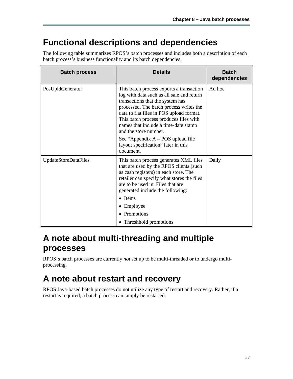## **Functional descriptions and dependencies**

The following table summarizes RPOS's batch processes and includes both a description of each batch process's business functionality and its batch dependencies.

| <b>Batch process</b> | <b>Details</b>                                                                                                                                                                                                                                                                                                              | <b>Batch</b><br>dependencies |
|----------------------|-----------------------------------------------------------------------------------------------------------------------------------------------------------------------------------------------------------------------------------------------------------------------------------------------------------------------------|------------------------------|
| PosUpldGenerator     | This batch process exports a transaction<br>log with data such as all sale and return<br>transactions that the system has<br>processed. The batch process writes the<br>data to flat files in POS upload format.<br>This batch process produces files with<br>names that include a time-date stamp<br>and the store number. | Ad hoc                       |
|                      | See "Appendix $A - POS$ upload file<br>layout specification" later in this<br>document.                                                                                                                                                                                                                                     |                              |
| UpdateStoreDataFiles | This batch process generates XML files<br>that are used by the RPOS clients (such<br>as cash registers) in each store. The<br>retailer can specify what stores the files<br>are to be used in. Files that are<br>generated include the following:                                                                           | Daily                        |
|                      | $\bullet$ Items                                                                                                                                                                                                                                                                                                             |                              |
|                      | • Employee                                                                                                                                                                                                                                                                                                                  |                              |
|                      | • Promotions                                                                                                                                                                                                                                                                                                                |                              |
|                      | • Threshhold promotions                                                                                                                                                                                                                                                                                                     |                              |

## **A note about multi-threading and multiple processes**

RPOS's batch processes are currently *not* set up to be multi-threaded or to undergo multiprocessing.

# **A note about restart and recovery**

RPOS Java-based batch processes do not utilize any type of restart and recovery. Rather, if a restart is required, a batch process can simply be restarted.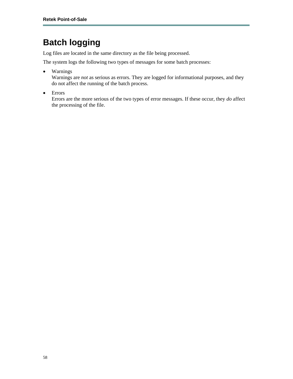# **Batch logging**

Log files are located in the same directory as the file being processed.

The system logs the following two types of messages for some batch processes:

• Warnings

Warnings are *not* as serious as errors. They are logged for informational purposes, and they do not affect the running of the batch process.

• Errors

Errors are the more serious of the two types of error messages. If these occur, they *do* affect the processing of the file.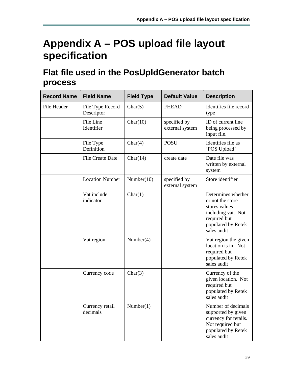# **Appendix A – POS upload file layout specification**

# **Flat file used in the PosUpldGenerator batch process**

| <b>Record Name</b> | <b>Field Name</b>              | <b>Field Type</b> | <b>Default Value</b>            | <b>Description</b>                                                                                                                 |
|--------------------|--------------------------------|-------------------|---------------------------------|------------------------------------------------------------------------------------------------------------------------------------|
| File Header        | File Type Record<br>Descriptor | Char(5)           | <b>FHEAD</b>                    | Identifies file record<br>type                                                                                                     |
|                    | File Line<br>Identifier        | Char(10)          | specified by<br>external system | ID of current line<br>being processed by<br>input file.                                                                            |
|                    | File Type<br>Definition        | Char(4)           | <b>POSU</b>                     | Identifies file as<br>'POS Upload'                                                                                                 |
|                    | <b>File Create Date</b>        | Char(14)          | create date                     | Date file was<br>written by external<br>system                                                                                     |
|                    | <b>Location Number</b>         | Number(10)        | specified by<br>external system | Store identifier                                                                                                                   |
|                    | Vat include<br>indicator       | Char(1)           |                                 | Determines whether<br>or not the store<br>stores values<br>including vat. Not<br>required but<br>populated by Retek<br>sales audit |
|                    | Vat region                     | Number $(4)$      |                                 | Vat region the given<br>location is in. Not<br>required but<br>populated by Retek<br>sales audit                                   |
|                    | Currency code                  | Char(3)           |                                 | Currency of the<br>given location. Not<br>required but<br>populated by Retek<br>sales audit                                        |
|                    | Currency retail<br>decimals    | Number(1)         |                                 | Number of decimals<br>supported by given<br>currency for retails.<br>Not required but<br>populated by Retek<br>sales audit         |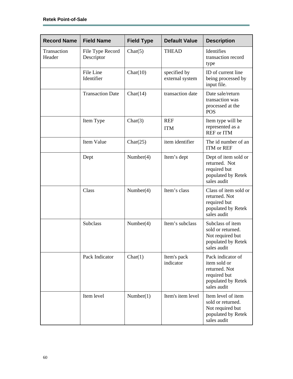| <b>Record Name</b>    | <b>Field Name</b>              | <b>Field Type</b> | <b>Default Value</b>            | <b>Description</b>                                                                                      |
|-----------------------|--------------------------------|-------------------|---------------------------------|---------------------------------------------------------------------------------------------------------|
| Transaction<br>Header | File Type Record<br>Descriptor | Char(5)           | <b>THEAD</b>                    | Identifies<br>transaction record<br>type                                                                |
|                       | File Line<br>Identifier        | Char(10)          | specified by<br>external system | ID of current line<br>being processed by<br>input file.                                                 |
|                       | <b>Transaction Date</b>        | Char(14)          | transaction date                | Date sale/return<br>transaction was<br>processed at the<br><b>POS</b>                                   |
|                       | Item Type                      | Char(3)           | <b>REF</b><br><b>ITM</b>        | Item type will be<br>represented as a<br><b>REF</b> or ITM                                              |
|                       | Item Value                     | Char(25)          | item identifier                 | The id number of an<br>ITM or REF                                                                       |
|                       | Dept                           | Number(4)         | Item's dept                     | Dept of item sold or<br>returned. Not<br>required but<br>populated by Retek<br>sales audit              |
|                       | Class                          | Number(4)         | Item's class                    | Class of item sold or<br>returned. Not<br>required but<br>populated by Retek<br>sales audit             |
|                       | <b>Subclass</b>                | Number $(4)$      | Item's subclass                 | Subclass of item<br>sold or returned.<br>Not required but<br>populated by Retek<br>sales audit          |
|                       | Pack Indicator                 | Char(1)           | Item's pack<br>indicator        | Pack indicator of<br>item sold or<br>returned. Not<br>required but<br>populated by Retek<br>sales audit |
|                       | Item level                     | Number(1)         | Item's item level               | Item level of item<br>sold or returned.<br>Not required but<br>populated by Retek<br>sales audit        |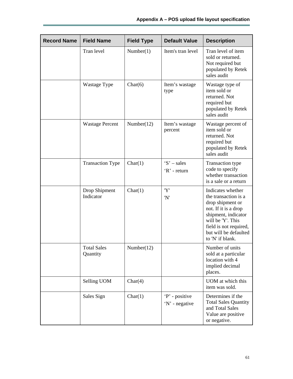| <b>Record Name</b> | <b>Field Name</b>              | <b>Field Type</b> | <b>Default Value</b>             | <b>Description</b>                                                                                                                                                                                       |
|--------------------|--------------------------------|-------------------|----------------------------------|----------------------------------------------------------------------------------------------------------------------------------------------------------------------------------------------------------|
|                    | Tran level                     | Number(1)         | Item's tran level                | Tran level of item<br>sold or returned.<br>Not required but<br>populated by Retek<br>sales audit                                                                                                         |
|                    | Wastage Type                   | Char(6)           | Item's wastage<br>type           | Wastage type of<br>item sold or<br>returned. Not<br>required but<br>populated by Retek<br>sales audit                                                                                                    |
|                    | <b>Wastage Percent</b>         | Number(12)        | Item's wastage<br>percent        | Wastage percent of<br>item sold or<br>returned. Not<br>required but<br>populated by Retek<br>sales audit                                                                                                 |
|                    | <b>Transaction Type</b>        | Char(1)           | $S'$ – sales<br>'R' - return     | <b>Transaction type</b><br>code to specify<br>whether transaction<br>is a sale or a return                                                                                                               |
|                    | Drop Shipment<br>Indicator     | Char(1)           | 'Y'<br>'N'                       | Indicates whether<br>the transaction is a<br>drop shipment or<br>not. If it is a drop<br>shipment, indicator<br>will be 'Y'. This<br>field is not required,<br>but will be defaulted<br>to 'N' if blank. |
|                    | <b>Total Sales</b><br>Quantity | Number(12)        |                                  | Number of units<br>sold at a particular<br>location with 4<br>implied decimal<br>places.                                                                                                                 |
|                    | Selling UOM                    | Char(4)           |                                  | UOM at which this<br>item was sold.                                                                                                                                                                      |
|                    | Sales Sign                     | Char(1)           | 'P' - positive<br>'N' - negative | Determines if the<br><b>Total Sales Quantity</b><br>and Total Sales<br>Value are positive<br>or negative.                                                                                                |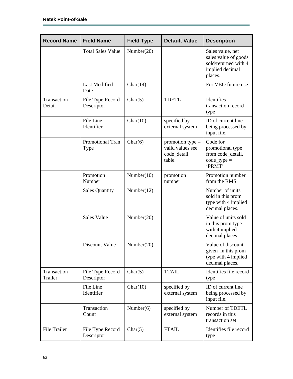| <b>Record Name</b>     | <b>Field Name</b>               | <b>Field Type</b> | <b>Default Value</b>                                            | <b>Description</b>                                                                             |
|------------------------|---------------------------------|-------------------|-----------------------------------------------------------------|------------------------------------------------------------------------------------------------|
|                        | <b>Total Sales Value</b>        | Number(20)        |                                                                 | Sales value, net<br>sales value of goods<br>sold/returned with 4<br>implied decimal<br>places. |
|                        | <b>Last Modified</b><br>Date    | Char(14)          |                                                                 | For VBO future use                                                                             |
| Transaction<br>Detail  | File Type Record<br>Descriptor  | Char(5)           | <b>TDETL</b>                                                    | Identifies<br>transaction record<br>type                                                       |
|                        | File Line<br>Identifier         | Char(10)          | specified by<br>external system                                 | ID of current line<br>being processed by<br>input file.                                        |
|                        | <b>Promotional Tran</b><br>Type | Char(6)           | promotion type $-$<br>valid values see<br>code_detail<br>table. | Code for<br>promotional type<br>from code_detail,<br>$code_type =$<br>'PRMT'                   |
|                        | Promotion<br>Number             | Number(10)        | promotion<br>number                                             | Promotion number<br>from the RMS                                                               |
|                        | <b>Sales Quantity</b>           | Number(12)        |                                                                 | Number of units<br>sold in this prom<br>type with 4 implied<br>decimal places.                 |
|                        | <b>Sales Value</b>              | Number(20)        |                                                                 | Value of units sold<br>in this prom type<br>with 4 implied<br>decimal places.                  |
|                        | Discount Value                  | Number(20)        |                                                                 | Value of discount<br>given in this prom<br>type with 4 implied<br>decimal places.              |
| Transaction<br>Trailer | File Type Record<br>Descriptor  | Char(5)           | <b>TTAIL</b>                                                    | Identifies file record<br>type                                                                 |
|                        | File Line<br>Identifier         | Char(10)          | specified by<br>external system                                 | ID of current line<br>being processed by<br>input file.                                        |
|                        | Transaction<br>Count            | Number $(6)$      | specified by<br>external system                                 | Number of TDETL<br>records in this<br>transaction set                                          |
| File Trailer           | File Type Record<br>Descriptor  | Char(5)           | <b>FTAIL</b>                                                    | Identifies file record<br>type                                                                 |